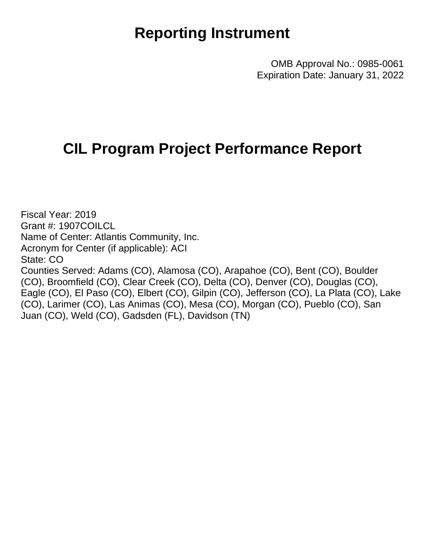## **Reporting Instrument**

OMB Approval No.: 0985-0061 Expiration Date: January 31, 2022

## **CIL Program Project Performance Report**

Fiscal Year: 2019 Grant #: 1907COILCL Name of Center: Atlantis Community, Inc. Acronym for Center (if applicable): ACI State: CO Counties Served: Adams (CO), Alamosa (CO), Arapahoe (CO), Bent (CO), Boulder (CO), Broomfield (CO), Clear Creek (CO), Delta (CO), Denver (CO), Douglas (CO), Eagle (CO), El Paso (CO), Elbert (CO), Gilpin (CO), Jefferson (CO), La Plata (CO), Lake (CO), Larimer (CO), Las Animas (CO), Mesa (CO), Morgan (CO), Pueblo (CO), San Juan (CO), Weld (CO), Gadsden (FL), Davidson (TN)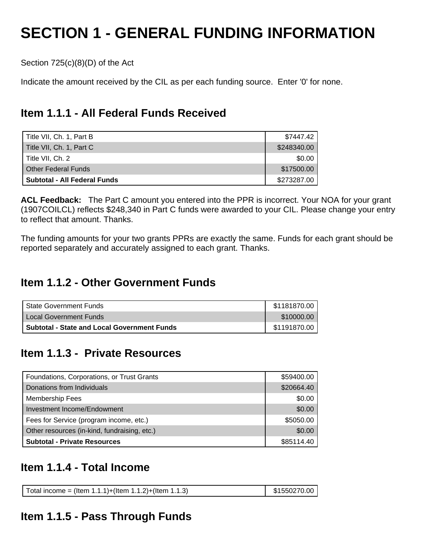# **SECTION 1 - GENERAL FUNDING INFORMATION**

Section 725(c)(8)(D) of the Act

Indicate the amount received by the CIL as per each funding source. Enter '0' for none.

## **Item 1.1.1 - All Federal Funds Received**

| Title VII, Ch. 1, Part B     | \$7447.42   |
|------------------------------|-------------|
| Title VII, Ch. 1, Part C     | \$248340.00 |
| Title VII. Ch. 2             | \$0.00      |
| <b>Other Federal Funds</b>   | \$17500.00  |
| Subtotal - All Federal Funds | \$273287.00 |

**ACL Feedback:** The Part C amount you entered into the PPR is incorrect. Your NOA for your grant (1907COILCL) reflects \$248,340 in Part C funds were awarded to your CIL. Please change your entry to reflect that amount. Thanks.

The funding amounts for your two grants PPRs are exactly the same. Funds for each grant should be reported separately and accurately assigned to each grant. Thanks.

## **Item 1.1.2 - Other Government Funds**

| State Government Funds                             | \$1181870.00 |
|----------------------------------------------------|--------------|
| ' Local Government Funds                           | \$10000.00   |
| <b>Subtotal - State and Local Government Funds</b> | \$1191870.00 |

## **Item 1.1.3 - Private Resources**

| Foundations, Corporations, or Trust Grants   | \$59400.00 |
|----------------------------------------------|------------|
| Donations from Individuals                   | \$20664.40 |
| <b>Membership Fees</b>                       | \$0.00     |
| Investment Income/Endowment                  | \$0.00     |
| Fees for Service (program income, etc.)      | \$5050.00  |
| Other resources (in-kind, fundraising, etc.) | \$0.00     |
| <b>Subtotal - Private Resources</b>          | \$85114.40 |

## **Item 1.1.4 - Total Income**

| Total income = (Item 1.1.1)+(Item 1.1.2)+(Item 1.1.3) | $\frac{1}{2}$ \$1550270.00 |
|-------------------------------------------------------|----------------------------|
|-------------------------------------------------------|----------------------------|

## **Item 1.1.5 - Pass Through Funds**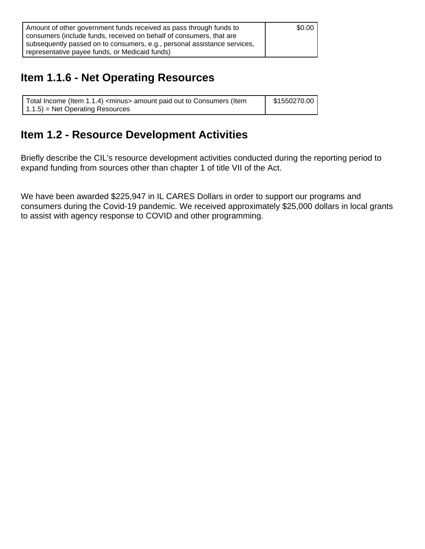| Amount of other government funds received as pass through funds to       | \$0.00 |
|--------------------------------------------------------------------------|--------|
| consumers (include funds, received on behalf of consumers, that are      |        |
| subsequently passed on to consumers, e.g., personal assistance services, |        |
| representative payee funds, or Medicaid funds)                           |        |

## **Item 1.1.6 - Net Operating Resources**

| Total Income (Item 1.1.4) <minus> amount paid out to Consumers (Item</minus> | \$1550270.00 |
|------------------------------------------------------------------------------|--------------|
| $(1.1.5)$ = Net Operating Resources                                          |              |

## **Item 1.2 - Resource Development Activities**

Briefly describe the CIL's resource development activities conducted during the reporting period to expand funding from sources other than chapter 1 of title VII of the Act.

We have been awarded \$225,947 in IL CARES Dollars in order to support our programs and consumers during the Covid-19 pandemic. We received approximately \$25,000 dollars in local grants to assist with agency response to COVID and other programming.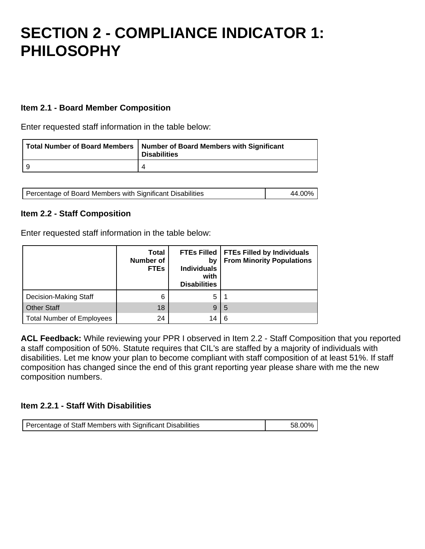## **SECTION 2 - COMPLIANCE INDICATOR 1: PHILOSOPHY**

#### **Item 2.1 - Board Member Composition**

Enter requested staff information in the table below:

|     | Total Number of Board Members   Number of Board Members with Significant<br>Disabilities |
|-----|------------------------------------------------------------------------------------------|
| - Q |                                                                                          |

| Percentage of Board Members with Significant Disabilities | 44.00% |
|-----------------------------------------------------------|--------|
|-----------------------------------------------------------|--------|

#### **Item 2.2 - Staff Composition**

Enter requested staff information in the table below:

|                                  | <b>Total</b><br><b>Number of</b><br><b>FTEs</b> | bv<br><b>Individuals</b><br>with<br><b>Disabilities</b> | FTEs Filled   FTEs Filled by Individuals<br><b>From Minority Populations</b> |
|----------------------------------|-------------------------------------------------|---------------------------------------------------------|------------------------------------------------------------------------------|
| Decision-Making Staff            | 6                                               | 5                                                       |                                                                              |
| <b>Other Staff</b>               | 18                                              | 9                                                       | 5                                                                            |
| <b>Total Number of Employees</b> | 24                                              | 14                                                      | 6                                                                            |

**ACL Feedback:** While reviewing your PPR I observed in Item 2.2 - Staff Composition that you reported a staff composition of 50%. Statute requires that CIL's are staffed by a majority of individuals with disabilities. Let me know your plan to become compliant with staff composition of at least 51%. If staff composition has changed since the end of this grant reporting year please share with me the new composition numbers.

#### **Item 2.2.1 - Staff With Disabilities**

| Percentage of Staff Members with Significant Disabilities | 58.00% |
|-----------------------------------------------------------|--------|
|-----------------------------------------------------------|--------|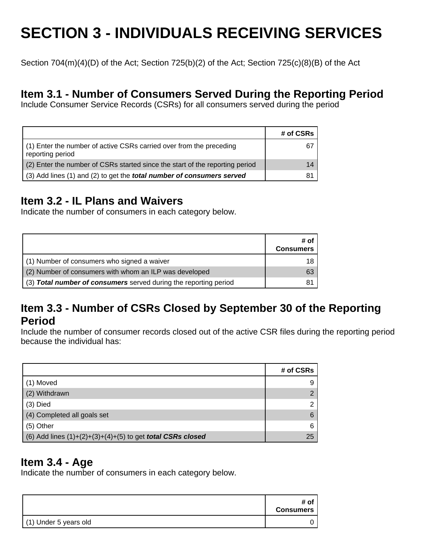# **SECTION 3 - INDIVIDUALS RECEIVING SERVICES**

Section 704(m)(4)(D) of the Act; Section 725(b)(2) of the Act; Section 725(c)(8)(B) of the Act

### **Item 3.1 - Number of Consumers Served During the Reporting Period**

Include Consumer Service Records (CSRs) for all consumers served during the period

|                                                                                         | # of CSRs |
|-----------------------------------------------------------------------------------------|-----------|
| (1) Enter the number of active CSRs carried over from the preceding<br>reporting period | 67        |
| (2) Enter the number of CSRs started since the start of the reporting period            | 14        |
| (3) Add lines (1) and (2) to get the <b>total number of consumers served</b>            | 81.       |

## **Item 3.2 - IL Plans and Waivers**

Indicate the number of consumers in each category below.

|                                                                  | # of<br><b>Consumers</b> |
|------------------------------------------------------------------|--------------------------|
| (1) Number of consumers who signed a waiver                      | 18                       |
| (2) Number of consumers with whom an ILP was developed           | 63                       |
| (3) Total number of consumers served during the reporting period | 81                       |

### **Item 3.3 - Number of CSRs Closed by September 30 of the Reporting Period**

Include the number of consumer records closed out of the active CSR files during the reporting period because the individual has:

|                                                                     | # of CSRs |
|---------------------------------------------------------------------|-----------|
| (1) Moved                                                           | 9         |
| (2) Withdrawn                                                       |           |
| $(3)$ Died                                                          | ◠         |
| (4) Completed all goals set                                         | 6         |
| $(5)$ Other                                                         | 6         |
| (6) Add lines $(1)+(2)+(3)+(4)+(5)$ to get <b>total CSRs closed</b> | 25        |

### **Item 3.4 - Age**

Indicate the number of consumers in each category below.

|                       | # of<br><b>Consumers</b> |
|-----------------------|--------------------------|
| (1) Under 5 years old |                          |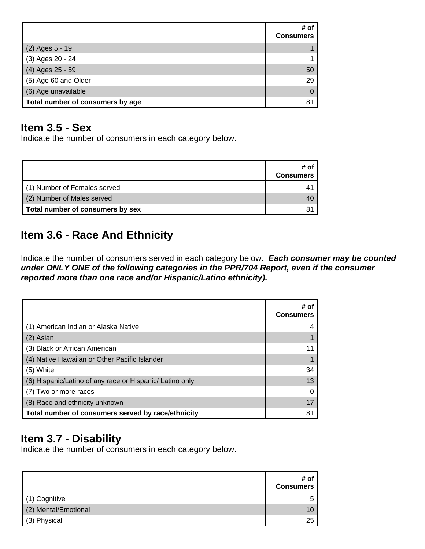|                                  | # of<br><b>Consumers</b> |
|----------------------------------|--------------------------|
| (2) Ages 5 - 19                  |                          |
| (3) Ages 20 - 24                 |                          |
| (4) Ages 25 - 59                 | 50                       |
| (5) Age 60 and Older             | 29                       |
| (6) Age unavailable              | $\Omega$                 |
| Total number of consumers by age | 81                       |

## **Item 3.5 - Sex**

Indicate the number of consumers in each category below.

|                                  | # of<br><b>Consumers</b> |
|----------------------------------|--------------------------|
| (1) Number of Females served     |                          |
| (2) Number of Males served       |                          |
| Total number of consumers by sex |                          |

## **Item 3.6 - Race And Ethnicity**

Indicate the number of consumers served in each category below. **Each consumer may be counted** under ONLY ONE of the following categories in the PPR/704 Report, even if the consumer **reported more than one race and/or Hispanic/Latino ethnicity).**

|                                                          | # of<br><b>Consumers</b> |
|----------------------------------------------------------|--------------------------|
| (1) American Indian or Alaska Native                     |                          |
| (2) Asian                                                |                          |
| (3) Black or African American                            | 11                       |
| (4) Native Hawaiian or Other Pacific Islander            |                          |
| (5) White                                                | 34                       |
| (6) Hispanic/Latino of any race or Hispanic/ Latino only | 13                       |
| (7) Two or more races                                    |                          |
| (8) Race and ethnicity unknown                           | 17                       |
| Total number of consumers served by race/ethnicity       | 81                       |

## **Item 3.7 - Disability**

Indicate the number of consumers in each category below.

|                      | # of<br><b>Consumers</b> |
|----------------------|--------------------------|
| (1) Cognitive        |                          |
| (2) Mental/Emotional |                          |
| (3) Physical         | 25                       |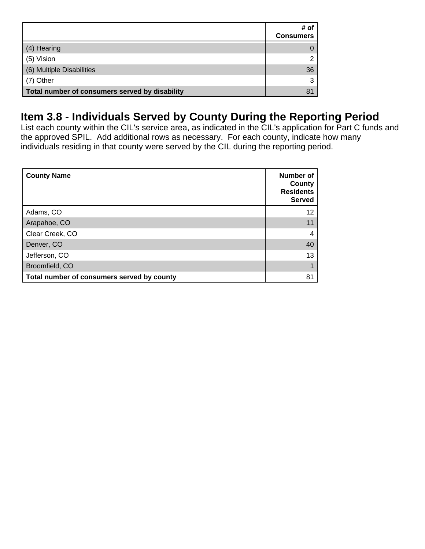|                                                | # of<br><b>Consumers</b> |
|------------------------------------------------|--------------------------|
| (4) Hearing                                    |                          |
| (5) Vision                                     |                          |
| (6) Multiple Disabilities                      | 36                       |
| (7) Other                                      |                          |
| Total number of consumers served by disability | 81                       |

## **Item 3.8 - Individuals Served by County During the Reporting Period**

List each county within the CIL's service area, as indicated in the CIL's application for Part C funds and the approved SPIL. Add additional rows as necessary. For each county, indicate how many individuals residing in that county were served by the CIL during the reporting period.

| <b>County Name</b>                         | Number of<br>County<br><b>Residents</b><br><b>Served</b> |
|--------------------------------------------|----------------------------------------------------------|
| Adams, CO                                  | 12                                                       |
| Arapahoe, CO                               |                                                          |
| Clear Creek, CO                            | 4                                                        |
| Denver, CO                                 | 40                                                       |
| Jefferson, CO                              | 13                                                       |
| Broomfield, CO                             |                                                          |
| Total number of consumers served by county | 81                                                       |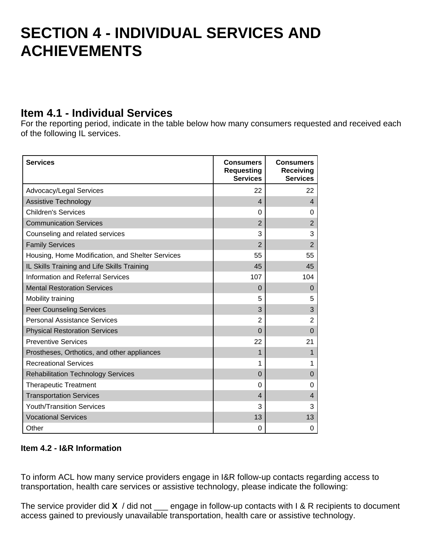## **SECTION 4 - INDIVIDUAL SERVICES AND ACHIEVEMENTS**

### **Item 4.1 - Individual Services**

For the reporting period, indicate in the table below how many consumers requested and received each of the following IL services.

| <b>Services</b>                                  | <b>Consumers</b><br><b>Requesting</b><br><b>Services</b> | <b>Consumers</b><br>Receiving<br><b>Services</b> |
|--------------------------------------------------|----------------------------------------------------------|--------------------------------------------------|
| Advocacy/Legal Services                          | 22                                                       | 22                                               |
| Assistive Technology                             | $\overline{\mathcal{A}}$                                 | $\overline{4}$                                   |
| <b>Children's Services</b>                       | 0                                                        | 0                                                |
| <b>Communication Services</b>                    | $\overline{2}$                                           | $\overline{2}$                                   |
| Counseling and related services                  | 3                                                        | 3                                                |
| <b>Family Services</b>                           | $\overline{2}$                                           | $\overline{2}$                                   |
| Housing, Home Modification, and Shelter Services | 55                                                       | 55                                               |
| IL Skills Training and Life Skills Training      | 45                                                       | 45                                               |
| <b>Information and Referral Services</b>         | 107                                                      | 104                                              |
| <b>Mental Restoration Services</b>               | $\Omega$                                                 | $\mathbf 0$                                      |
| Mobility training                                | 5                                                        | 5                                                |
| <b>Peer Counseling Services</b>                  | 3                                                        | 3                                                |
| <b>Personal Assistance Services</b>              | $\overline{2}$                                           | $\overline{2}$                                   |
| <b>Physical Restoration Services</b>             | $\Omega$                                                 | $\Omega$                                         |
| <b>Preventive Services</b>                       | 22                                                       | 21                                               |
| Prostheses, Orthotics, and other appliances      | 1                                                        | 1                                                |
| <b>Recreational Services</b>                     | 1                                                        | 1                                                |
| <b>Rehabilitation Technology Services</b>        | $\Omega$                                                 | $\Omega$                                         |
| <b>Therapeutic Treatment</b>                     | $\Omega$                                                 | 0                                                |
| <b>Transportation Services</b>                   | $\overline{4}$                                           | 4                                                |
| <b>Youth/Transition Services</b>                 | 3                                                        | 3                                                |
| <b>Vocational Services</b>                       | 13                                                       | 13                                               |
| Other                                            | $\Omega$                                                 | 0                                                |

#### **Item 4.2 - I&R Information**

To inform ACL how many service providers engage in I&R follow-up contacts regarding access to transportation, health care services or assistive technology, please indicate the following:

The service provider did **X** / did not \_\_\_ engage in follow-up contacts with I & R recipients to document access gained to previously unavailable transportation, health care or assistive technology.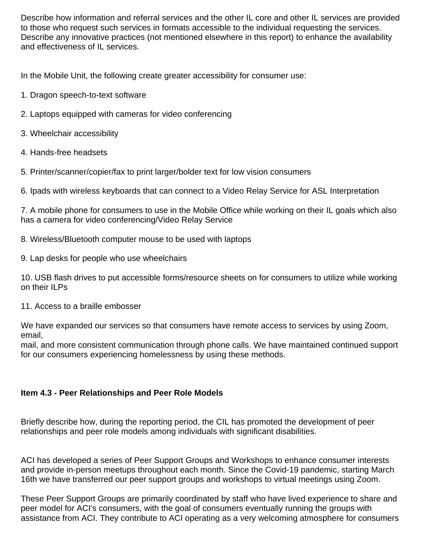Describe how information and referral services and the other IL core and other IL services are provided to those who request such services in formats accessible to the individual requesting the services. Describe any innovative practices (not mentioned elsewhere in this report) to enhance the availability and effectiveness of IL services.

In the Mobile Unit, the following create greater accessibility for consumer use:

- 1. Dragon speech-to-text software
- 2. Laptops equipped with cameras for video conferencing
- 3. Wheelchair accessibility
- 4. Hands-free headsets
- 5. Printer/scanner/copier/fax to print larger/bolder text for low vision consumers

6. Ipads with wireless keyboards that can connect to a Video Relay Service for ASL Interpretation

7. A mobile phone for consumers to use in the Mobile Office while working on their IL goals which also has a camera for video conferencing/Video Relay Service

- 8. Wireless/Bluetooth computer mouse to be used with laptops
- 9. Lap desks for people who use wheelchairs

10. USB flash drives to put accessible forms/resource sheets on for consumers to utilize while working on their ILPs

11. Access to a braille embosser

We have expanded our services so that consumers have remote access to services by using Zoom, email,

mail, and more consistent communication through phone calls. We have maintained continued support for our consumers experiencing homelessness by using these methods.

#### **Item 4.3 - Peer Relationships and Peer Role Models**

Briefly describe how, during the reporting period, the CIL has promoted the development of peer relationships and peer role models among individuals with significant disabilities.

ACI has developed a series of Peer Support Groups and Workshops to enhance consumer interests and provide in-person meetups throughout each month. Since the Covid-19 pandemic, starting March 16th we have transferred our peer support groups and workshops to virtual meetings using Zoom.

These Peer Support Groups are primarily coordinated by staff who have lived experience to share and peer model for ACI's consumers, with the goal of consumers eventually running the groups with assistance from ACI. They contribute to ACI operating as a very welcoming atmosphere for consumers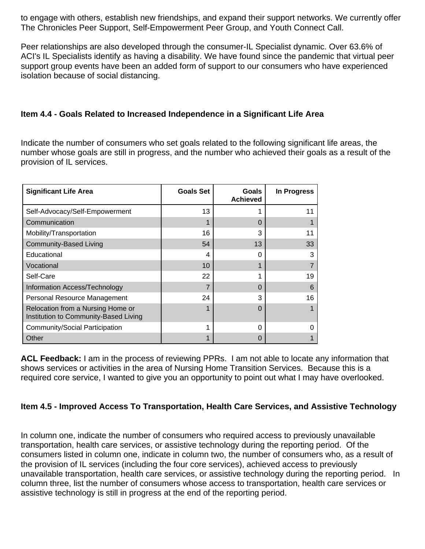to engage with others, establish new friendships, and expand their support networks. We currently offer The Chronicles Peer Support, Self-Empowerment Peer Group, and Youth Connect Call.

Peer relationships are also developed through the consumer-IL Specialist dynamic. Over 63.6% of ACI's IL Specialists identify as having a disability. We have found since the pandemic that virtual peer support group events have been an added form of support to our consumers who have experienced isolation because of social distancing.

#### **Item 4.4 - Goals Related to Increased Independence in a Significant Life Area**

Indicate the number of consumers who set goals related to the following significant life areas, the number whose goals are still in progress, and the number who achieved their goals as a result of the provision of IL services.

| <b>Significant Life Area</b>                                               | <b>Goals Set</b> | <b>Goals</b><br><b>Achieved</b> | In Progress |
|----------------------------------------------------------------------------|------------------|---------------------------------|-------------|
| Self-Advocacy/Self-Empowerment                                             | 13               |                                 | 11          |
| Communication                                                              |                  | $\Omega$                        |             |
| Mobility/Transportation                                                    | 16               | 3                               | 11          |
| <b>Community-Based Living</b>                                              | 54               | 13                              | 33          |
| Educational                                                                | 4                | 0                               | 3           |
| Vocational                                                                 | 10               |                                 |             |
| Self-Care                                                                  | 22               |                                 | 19          |
| Information Access/Technology                                              |                  | 0                               | 6           |
| Personal Resource Management                                               | 24               | 3                               | 16          |
| Relocation from a Nursing Home or<br>Institution to Community-Based Living |                  | $\Omega$                        |             |
| Community/Social Participation                                             |                  | $\Omega$                        |             |
| Other                                                                      |                  | O                               |             |

**ACL Feedback:** I am in the process of reviewing PPRs. I am not able to locate any information that shows services or activities in the area of Nursing Home Transition Services. Because this is a required core service, I wanted to give you an opportunity to point out what I may have overlooked.

#### **Item 4.5 - Improved Access To Transportation, Health Care Services, and Assistive Technology**

In column one, indicate the number of consumers who required access to previously unavailable transportation, health care services, or assistive technology during the reporting period. Of the consumers listed in column one, indicate in column two, the number of consumers who, as a result of the provision of IL services (including the four core services), achieved access to previously unavailable transportation, health care services, or assistive technology during the reporting period. In column three, list the number of consumers whose access to transportation, health care services or assistive technology is still in progress at the end of the reporting period.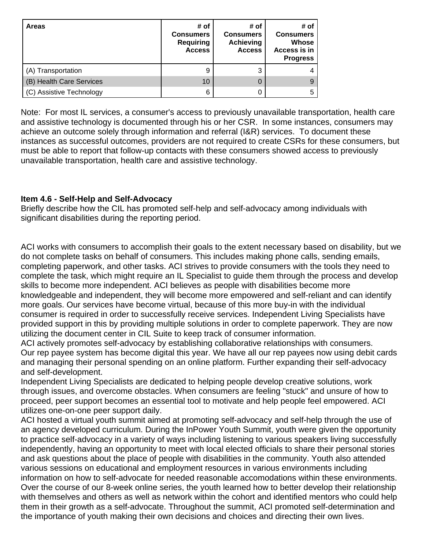| <b>Areas</b>             | # of<br><b>Consumers</b><br><b>Requiring</b><br><b>Access</b> | # of<br><b>Consumers</b><br><b>Achieving</b><br><b>Access</b> | # of<br><b>Consumers</b><br>Whose<br>Access is in<br><b>Progress</b> |
|--------------------------|---------------------------------------------------------------|---------------------------------------------------------------|----------------------------------------------------------------------|
| (A) Transportation       | 9                                                             | 3                                                             |                                                                      |
| (B) Health Care Services | 10                                                            | 0                                                             |                                                                      |
| (C) Assistive Technology | 6                                                             | 0                                                             |                                                                      |

Note: For most IL services, a consumer's access to previously unavailable transportation, health care and assistive technology is documented through his or her CSR. In some instances, consumers may achieve an outcome solely through information and referral (I&R) services. To document these instances as successful outcomes, providers are not required to create CSRs for these consumers, but must be able to report that follow-up contacts with these consumers showed access to previously unavailable transportation, health care and assistive technology.

#### **Item 4.6 - Self-Help and Self-Advocacy**

Briefly describe how the CIL has promoted self-help and self-advocacy among individuals with significant disabilities during the reporting period.

ACI works with consumers to accomplish their goals to the extent necessary based on disability, but we do not complete tasks on behalf of consumers. This includes making phone calls, sending emails, completing paperwork, and other tasks. ACI strives to provide consumers with the tools they need to complete the task, which might require an IL Specialist to guide them through the process and develop skills to become more independent. ACI believes as people with disabilities become more knowledgeable and independent, they will become more empowered and self-reliant and can identify more goals. Our services have become virtual, because of this more buy-in with the individual consumer is required in order to successfully receive services. Independent Living Specialists have provided support in this by providing multiple solutions in order to complete paperwork. They are now utilizing the document center in CIL Suite to keep track of consumer information.

ACI actively promotes self-advocacy by establishing collaborative relationships with consumers. Our rep payee system has become digital this year. We have all our rep payees now using debit cards and managing their personal spending on an online platform. Further expanding their self-advocacy and self-development.

Independent Living Specialists are dedicated to helping people develop creative solutions, work through issues, and overcome obstacles. When consumers are feeling "stuck" and unsure of how to proceed, peer support becomes an essential tool to motivate and help people feel empowered. ACI utilizes one-on-one peer support daily.

ACI hosted a virtual youth summit aimed at promoting self-advocacy and self-help through the use of an agency developed curriculum. During the InPower Youth Summit, youth were given the opportunity to practice self-advocacy in a variety of ways including listening to various speakers living successfully independently, having an opportunity to meet with local elected officials to share their personal stories and ask questions about the place of people with disabilities in the community. Youth also attended various sessions on educational and employment resources in various environments including information on how to self-advocate for needed reasonable accomodations within these environments. Over the course of our 8-week online series, the youth learned how to better develop their relationship with themselves and others as well as network within the cohort and identified mentors who could help them in their growth as a self-advocate. Throughout the summit, ACI promoted self-determination and the importance of youth making their own decisions and choices and directing their own lives.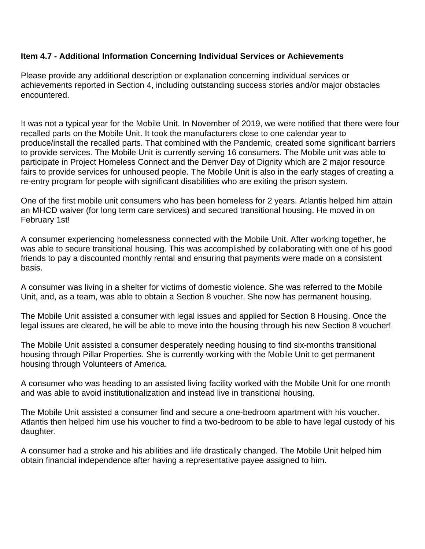#### **Item 4.7 - Additional Information Concerning Individual Services or Achievements**

Please provide any additional description or explanation concerning individual services or achievements reported in Section 4, including outstanding success stories and/or major obstacles encountered.

It was not a typical year for the Mobile Unit. In November of 2019, we were notified that there were four recalled parts on the Mobile Unit. It took the manufacturers close to one calendar year to produce/install the recalled parts. That combined with the Pandemic, created some significant barriers to provide services. The Mobile Unit is currently serving 16 consumers. The Mobile unit was able to participate in Project Homeless Connect and the Denver Day of Dignity which are 2 major resource fairs to provide services for unhoused people. The Mobile Unit is also in the early stages of creating a re-entry program for people with significant disabilities who are exiting the prison system.

One of the first mobile unit consumers who has been homeless for 2 years. Atlantis helped him attain an MHCD waiver (for long term care services) and secured transitional housing. He moved in on February 1st!

A consumer experiencing homelessness connected with the Mobile Unit. After working together, he was able to secure transitional housing. This was accomplished by collaborating with one of his good friends to pay a discounted monthly rental and ensuring that payments were made on a consistent basis.

A consumer was living in a shelter for victims of domestic violence. She was referred to the Mobile Unit, and, as a team, was able to obtain a Section 8 voucher. She now has permanent housing.

The Mobile Unit assisted a consumer with legal issues and applied for Section 8 Housing. Once the legal issues are cleared, he will be able to move into the housing through his new Section 8 voucher!

The Mobile Unit assisted a consumer desperately needing housing to find six-months transitional housing through Pillar Properties. She is currently working with the Mobile Unit to get permanent housing through Volunteers of America.

A consumer who was heading to an assisted living facility worked with the Mobile Unit for one month and was able to avoid institutionalization and instead live in transitional housing.

The Mobile Unit assisted a consumer find and secure a one-bedroom apartment with his voucher. Atlantis then helped him use his voucher to find a two-bedroom to be able to have legal custody of his daughter.

A consumer had a stroke and his abilities and life drastically changed. The Mobile Unit helped him obtain financial independence after having a representative payee assigned to him.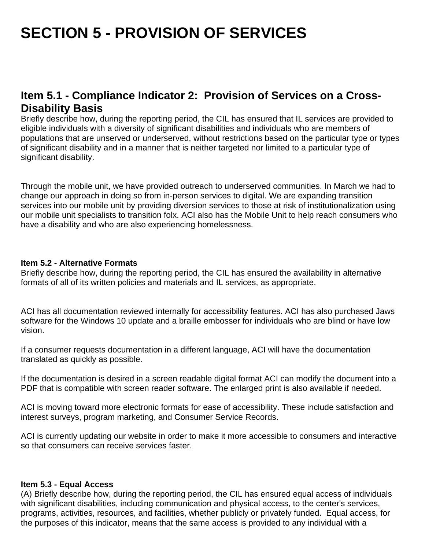# **SECTION 5 - PROVISION OF SERVICES**

## **Item 5.1 - Compliance Indicator 2: Provision of Services on a Cross-Disability Basis**

Briefly describe how, during the reporting period, the CIL has ensured that IL services are provided to eligible individuals with a diversity of significant disabilities and individuals who are members of populations that are unserved or underserved, without restrictions based on the particular type or types of significant disability and in a manner that is neither targeted nor limited to a particular type of significant disability.

Through the mobile unit, we have provided outreach to underserved communities. In March we had to change our approach in doing so from in-person services to digital. We are expanding transition services into our mobile unit by providing diversion services to those at risk of institutionalization using our mobile unit specialists to transition folx. ACI also has the Mobile Unit to help reach consumers who have a disability and who are also experiencing homelessness.

#### **Item 5.2 - Alternative Formats**

Briefly describe how, during the reporting period, the CIL has ensured the availability in alternative formats of all of its written policies and materials and IL services, as appropriate.

ACI has all documentation reviewed internally for accessibility features. ACI has also purchased Jaws software for the Windows 10 update and a braille embosser for individuals who are blind or have low vision.

If a consumer requests documentation in a different language, ACI will have the documentation translated as quickly as possible.

If the documentation is desired in a screen readable digital format ACI can modify the document into a PDF that is compatible with screen reader software. The enlarged print is also available if needed.

ACI is moving toward more electronic formats for ease of accessibility. These include satisfaction and interest surveys, program marketing, and Consumer Service Records.

ACI is currently updating our website in order to make it more accessible to consumers and interactive so that consumers can receive services faster.

#### **Item 5.3 - Equal Access**

(A) Briefly describe how, during the reporting period, the CIL has ensured equal access of individuals with significant disabilities, including communication and physical access, to the center's services, programs, activities, resources, and facilities, whether publicly or privately funded. Equal access, for the purposes of this indicator, means that the same access is provided to any individual with a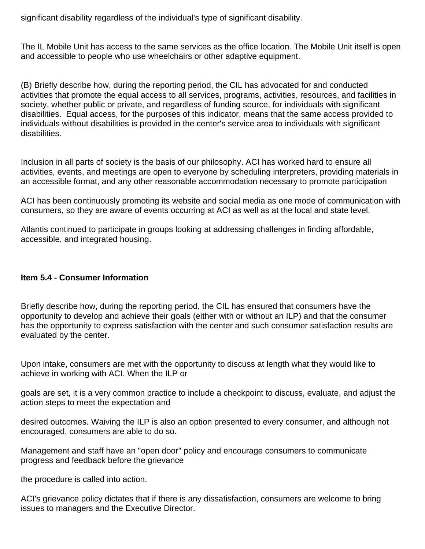significant disability regardless of the individual's type of significant disability.

The IL Mobile Unit has access to the same services as the office location. The Mobile Unit itself is open and accessible to people who use wheelchairs or other adaptive equipment.

(B) Briefly describe how, during the reporting period, the CIL has advocated for and conducted activities that promote the equal access to all services, programs, activities, resources, and facilities in society, whether public or private, and regardless of funding source, for individuals with significant disabilities. Equal access, for the purposes of this indicator, means that the same access provided to individuals without disabilities is provided in the center's service area to individuals with significant disabilities.

Inclusion in all parts of society is the basis of our philosophy. ACI has worked hard to ensure all activities, events, and meetings are open to everyone by scheduling interpreters, providing materials in an accessible format, and any other reasonable accommodation necessary to promote participation

ACI has been continuously promoting its website and social media as one mode of communication with consumers, so they are aware of events occurring at ACI as well as at the local and state level.

Atlantis continued to participate in groups looking at addressing challenges in finding affordable, accessible, and integrated housing.

#### **Item 5.4 - Consumer Information**

Briefly describe how, during the reporting period, the CIL has ensured that consumers have the opportunity to develop and achieve their goals (either with or without an ILP) and that the consumer has the opportunity to express satisfaction with the center and such consumer satisfaction results are evaluated by the center.

Upon intake, consumers are met with the opportunity to discuss at length what they would like to achieve in working with ACI. When the ILP or

goals are set, it is a very common practice to include a checkpoint to discuss, evaluate, and adjust the action steps to meet the expectation and

desired outcomes. Waiving the ILP is also an option presented to every consumer, and although not encouraged, consumers are able to do so.

Management and staff have an "open door" policy and encourage consumers to communicate progress and feedback before the grievance

the procedure is called into action.

ACI's grievance policy dictates that if there is any dissatisfaction, consumers are welcome to bring issues to managers and the Executive Director.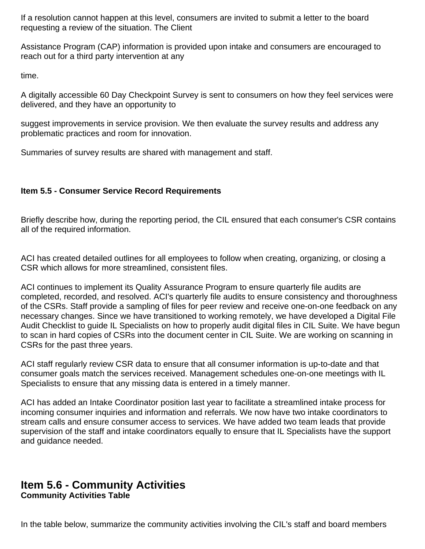If a resolution cannot happen at this level, consumers are invited to submit a letter to the board requesting a review of the situation. The Client

Assistance Program (CAP) information is provided upon intake and consumers are encouraged to reach out for a third party intervention at any

time.

A digitally accessible 60 Day Checkpoint Survey is sent to consumers on how they feel services were delivered, and they have an opportunity to

suggest improvements in service provision. We then evaluate the survey results and address any problematic practices and room for innovation.

Summaries of survey results are shared with management and staff.

#### **Item 5.5 - Consumer Service Record Requirements**

Briefly describe how, during the reporting period, the CIL ensured that each consumer's CSR contains all of the required information.

ACI has created detailed outlines for all employees to follow when creating, organizing, or closing a CSR which allows for more streamlined, consistent files.

ACI continues to implement its Quality Assurance Program to ensure quarterly file audits are completed, recorded, and resolved. ACI's quarterly file audits to ensure consistency and thoroughness of the CSRs. Staff provide a sampling of files for peer review and receive one-on-one feedback on any necessary changes. Since we have transitioned to working remotely, we have developed a Digital File Audit Checklist to guide IL Specialists on how to properly audit digital files in CIL Suite. We have begun to scan in hard copies of CSRs into the document center in CIL Suite. We are working on scanning in CSRs for the past three years.

ACI staff regularly review CSR data to ensure that all consumer information is up-to-date and that consumer goals match the services received. Management schedules one-on-one meetings with IL Specialists to ensure that any missing data is entered in a timely manner.

ACI has added an Intake Coordinator position last year to facilitate a streamlined intake process for incoming consumer inquiries and information and referrals. We now have two intake coordinators to stream calls and ensure consumer access to services. We have added two team leads that provide supervision of the staff and intake coordinators equally to ensure that IL Specialists have the support and guidance needed.

#### **Item 5.6 - Community Activities Community Activities Table**

In the table below, summarize the community activities involving the CIL's staff and board members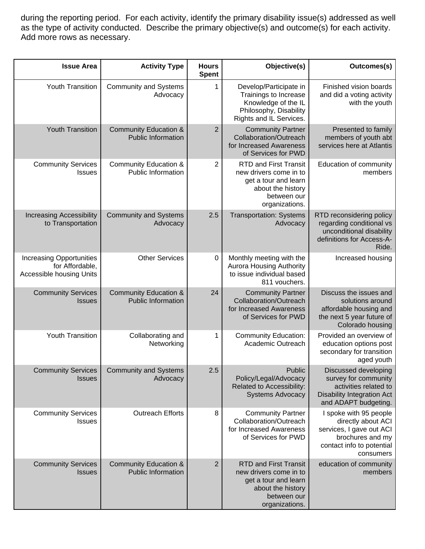during the reporting period. For each activity, identify the primary disability issue(s) addressed as well as the type of activity conducted. Describe the primary objective(s) and outcome(s) for each activity. Add more rows as necessary.

| <b>Issue Area</b>                                                              | <b>Activity Type</b>                                          | <b>Hours</b><br><b>Spent</b> | Objective(s)                                                                                                                         | Outcomes(s)                                                                                                                            |
|--------------------------------------------------------------------------------|---------------------------------------------------------------|------------------------------|--------------------------------------------------------------------------------------------------------------------------------------|----------------------------------------------------------------------------------------------------------------------------------------|
| Youth Transition                                                               | <b>Community and Systems</b><br>Advocacy                      | 1                            | Develop/Participate in<br>Trainings to Increase<br>Knowledge of the IL<br>Philosophy, Disability<br>Rights and IL Services.          | Finished vision boards<br>and did a voting activity<br>with the youth                                                                  |
| <b>Youth Transition</b>                                                        | <b>Community Education &amp;</b><br><b>Public Information</b> | $\overline{2}$               | <b>Community Partner</b><br>Collaboration/Outreach<br>for Increased Awareness<br>of Services for PWD                                 | Presented to family<br>members of youth abt<br>services here at Atlantis                                                               |
| <b>Community Services</b><br><b>Issues</b>                                     | Community Education &<br>Public Information                   | 2                            | <b>RTD and First Transit</b><br>new drivers come in to<br>get a tour and learn<br>about the history<br>between our<br>organizations. | Education of community<br>members                                                                                                      |
| <b>Increasing Accessibility</b><br>to Transportation                           | <b>Community and Systems</b><br>Advocacy                      | 2.5                          | <b>Transportation: Systems</b><br>Advocacy                                                                                           | RTD reconsidering policy<br>regarding conditional vs<br>unconditional disability<br>definitions for Access-A-<br>Ride.                 |
| <b>Increasing Opportunities</b><br>for Affordable,<br>Accessible housing Units | <b>Other Services</b>                                         | $\mathbf 0$                  | Monthly meeting with the<br><b>Aurora Housing Authority</b><br>to issue individual based<br>811 vouchers.                            | Increased housing                                                                                                                      |
| <b>Community Services</b><br><b>Issues</b>                                     | <b>Community Education &amp;</b><br><b>Public Information</b> | 24                           | <b>Community Partner</b><br>Collaboration/Outreach<br>for Increased Awareness<br>of Services for PWD                                 | Discuss the issues and<br>solutions around<br>affordable housing and<br>the next 5 year future of<br>Colorado housing                  |
| Youth Transition                                                               | Collaborating and<br>Networking                               | 1                            | <b>Community Education:</b><br>Academic Outreach                                                                                     | Provided an overview of<br>education options post<br>secondary for transition<br>aged youth                                            |
| <b>Community Services</b><br><b>Issues</b>                                     | <b>Community and Systems</b><br>Advocacy                      | 2.5                          | Public<br>Policy/Legal/Advocacy<br>Related to Accessibility:<br><b>Systems Advocacy</b>                                              | Discussed developing<br>survey for community<br>activities related to<br><b>Disability Integration Act</b><br>and ADAPT budgeting.     |
| <b>Community Services</b><br><b>Issues</b>                                     | <b>Outreach Efforts</b>                                       | 8                            | <b>Community Partner</b><br>Collaboration/Outreach<br>for Increased Awareness<br>of Services for PWD                                 | I spoke with 95 people<br>directly about ACI<br>services, I gave out ACI<br>brochures and my<br>contact info to potential<br>consumers |
| <b>Community Services</b><br><b>Issues</b>                                     | Community Education &<br><b>Public Information</b>            | $\overline{2}$               | <b>RTD and First Transit</b><br>new drivers come in to<br>get a tour and learn<br>about the history<br>between our<br>organizations. | education of community<br>members                                                                                                      |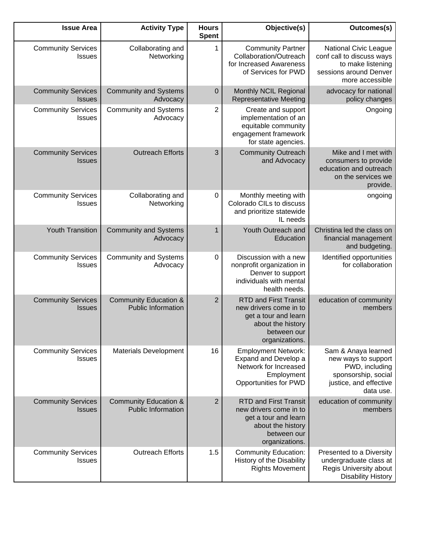| <b>Issue Area</b>                          | <b>Activity Type</b>                                          | <b>Hours</b><br><b>Spent</b> | Objective(s)                                                                                                                         | Outcomes(s)                                                                                                                |
|--------------------------------------------|---------------------------------------------------------------|------------------------------|--------------------------------------------------------------------------------------------------------------------------------------|----------------------------------------------------------------------------------------------------------------------------|
| <b>Community Services</b><br><b>Issues</b> | Collaborating and<br>Networking                               | 1                            | <b>Community Partner</b><br>Collaboration/Outreach<br>for Increased Awareness<br>of Services for PWD                                 | National Civic League<br>conf call to discuss ways<br>to make listening<br>sessions around Denver<br>more accessible       |
| <b>Community Services</b><br><b>Issues</b> | <b>Community and Systems</b><br>Advocacy                      | 0                            | Monthly NCIL Regional<br><b>Representative Meeting</b>                                                                               | advocacy for national<br>policy changes                                                                                    |
| <b>Community Services</b><br><b>Issues</b> | <b>Community and Systems</b><br>Advocacy                      | 2                            | Create and support<br>implementation of an<br>equitable community<br>engagement framework<br>for state agencies.                     | Ongoing                                                                                                                    |
| <b>Community Services</b><br><b>Issues</b> | <b>Outreach Efforts</b>                                       | 3                            | <b>Community Outreach</b><br>and Advocacy                                                                                            | Mike and I met with<br>consumers to provide<br>education and outreach<br>on the services we<br>provide.                    |
| <b>Community Services</b><br><b>Issues</b> | Collaborating and<br>Networking                               | 0                            | Monthly meeting with<br>Colorado CILs to discuss<br>and prioritize statewide<br>IL needs                                             | ongoing                                                                                                                    |
| <b>Youth Transition</b>                    | <b>Community and Systems</b><br>Advocacy                      | 1                            | Youth Outreach and<br>Education                                                                                                      | Christina led the class on<br>financial management<br>and budgeting.                                                       |
| <b>Community Services</b><br><b>Issues</b> | <b>Community and Systems</b><br>Advocacy                      | 0                            | Discussion with a new<br>nonprofit organization in<br>Denver to support<br>individuals with mental<br>health needs.                  | Identified opportunities<br>for collaboration                                                                              |
| <b>Community Services</b><br><b>Issues</b> | <b>Community Education &amp;</b><br><b>Public Information</b> | $\overline{2}$               | <b>RTD and First Transit</b><br>new drivers come in to<br>get a tour and learn<br>about the history<br>between our<br>organizations. | education of community<br>members                                                                                          |
| <b>Community Services</b><br><b>Issues</b> | <b>Materials Development</b>                                  | 16                           | <b>Employment Network:</b><br>Expand and Develop a<br>Network for Increased<br>Employment<br>Opportunities for PWD                   | Sam & Anaya learned<br>new ways to support<br>PWD, including<br>sponsorship, social<br>justice, and effective<br>data use. |
| <b>Community Services</b><br><b>Issues</b> | <b>Community Education &amp;</b><br><b>Public Information</b> | 2                            | <b>RTD and First Transit</b><br>new drivers come in to<br>get a tour and learn<br>about the history<br>between our<br>organizations. | education of community<br>members                                                                                          |
| <b>Community Services</b><br><b>Issues</b> | <b>Outreach Efforts</b>                                       | 1.5                          | <b>Community Education:</b><br>History of the Disability<br><b>Rights Movement</b>                                                   | Presented to a Diversity<br>undergraduate class at<br>Regis University about<br><b>Disability History</b>                  |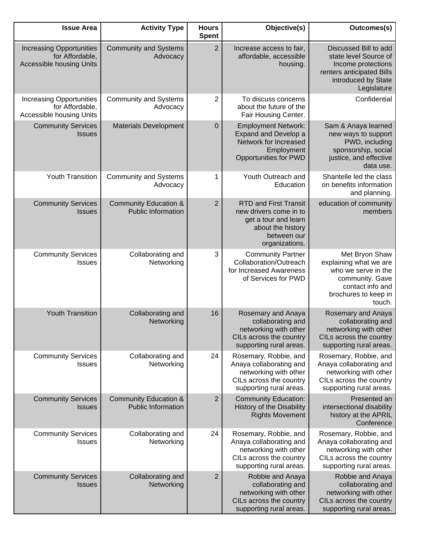| <b>Issue Area</b>                                                                     | <b>Activity Type</b>                                          | <b>Hours</b><br><b>Spent</b> | Objective(s)                                                                                                                         | Outcomes(s)                                                                                                                              |
|---------------------------------------------------------------------------------------|---------------------------------------------------------------|------------------------------|--------------------------------------------------------------------------------------------------------------------------------------|------------------------------------------------------------------------------------------------------------------------------------------|
| <b>Increasing Opportunities</b><br>for Affordable,<br><b>Accessible housing Units</b> | <b>Community and Systems</b><br>Advocacy                      | $\overline{2}$               | Increase access to fair,<br>affordable, accessible<br>housing.                                                                       | Discussed Bill to add<br>state level Source of<br>Income protections<br>renters anticipated Bills<br>introduced by State<br>Legislature  |
| <b>Increasing Opportunities</b><br>for Affordable,<br>Accessible housing Units        | <b>Community and Systems</b><br>Advocacy                      | 2                            | To discuss concerns<br>about the future of the<br>Fair Housing Center.                                                               | Confidential                                                                                                                             |
| <b>Community Services</b><br><b>Issues</b>                                            | <b>Materials Development</b>                                  | $\mathbf 0$                  | <b>Employment Network:</b><br>Expand and Develop a<br>Network for Increased<br>Employment<br><b>Opportunities for PWD</b>            | Sam & Anaya learned<br>new ways to support<br>PWD, including<br>sponsorship, social<br>justice, and effective<br>data use.               |
| <b>Youth Transition</b>                                                               | <b>Community and Systems</b><br>Advocacy                      | 1                            | Youth Outreach and<br>Education                                                                                                      | Shantelle led the class<br>on benefits information<br>and planning.                                                                      |
| <b>Community Services</b><br><b>Issues</b>                                            | <b>Community Education &amp;</b><br><b>Public Information</b> | $\overline{2}$               | <b>RTD and First Transit</b><br>new drivers come in to<br>get a tour and learn<br>about the history<br>between our<br>organizations. | education of community<br>members                                                                                                        |
| <b>Community Services</b><br><b>Issues</b>                                            | Collaborating and<br>Networking                               | 3                            | <b>Community Partner</b><br>Collaboration/Outreach<br>for Increased Awareness<br>of Services for PWD                                 | Met Bryon Shaw<br>explaining what we are<br>who we serve in the<br>community. Gave<br>contact info and<br>brochures to keep in<br>touch. |
| <b>Youth Transition</b>                                                               | Collaborating and<br>Networking                               | 16                           | Rosemary and Anaya<br>collaborating and<br>networking with other<br>CILs across the country<br>supporting rural areas.               | Rosemary and Anaya<br>collaborating and<br>networking with other<br>CILs across the country<br>supporting rural areas.                   |
| <b>Community Services</b><br><b>Issues</b>                                            | Collaborating and<br>Networking                               | 24                           | Rosemary, Robbie, and<br>Anaya collaborating and<br>networking with other<br>CILs across the country<br>supporting rural areas.      | Rosemary, Robbie, and<br>Anaya collaborating and<br>networking with other<br>CILs across the country<br>supporting rural areas.          |
| <b>Community Services</b><br><b>Issues</b>                                            | <b>Community Education &amp;</b><br><b>Public Information</b> | $\overline{2}$               | <b>Community Education:</b><br>History of the Disability<br><b>Rights Movement</b>                                                   | Presented an<br>intersectional disability<br>history at the APRIL<br>Conference                                                          |
| <b>Community Services</b><br><b>Issues</b>                                            | Collaborating and<br>Networking                               | 24                           | Rosemary, Robbie, and<br>Anaya collaborating and<br>networking with other<br>CILs across the country<br>supporting rural areas.      | Rosemary, Robbie, and<br>Anaya collaborating and<br>networking with other<br>CILs across the country<br>supporting rural areas.          |
| <b>Community Services</b><br><b>Issues</b>                                            | Collaborating and<br>Networking                               | $\overline{2}$               | Robbie and Anaya<br>collaborating and<br>networking with other<br>CILs across the country<br>supporting rural areas.                 | Robbie and Anaya<br>collaborating and<br>networking with other<br>CILs across the country<br>supporting rural areas.                     |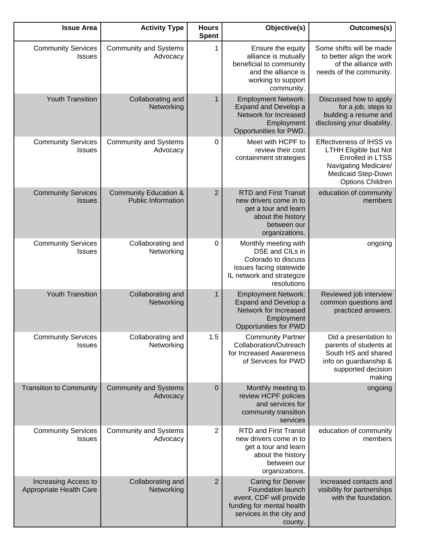| <b>Issue Area</b>                               | <b>Activity Type</b>                                          | <b>Hours</b><br><b>Spent</b> | Objective(s)                                                                                                                                        | Outcomes(s)                                                                                                                                    |
|-------------------------------------------------|---------------------------------------------------------------|------------------------------|-----------------------------------------------------------------------------------------------------------------------------------------------------|------------------------------------------------------------------------------------------------------------------------------------------------|
| <b>Community Services</b><br><b>Issues</b>      | <b>Community and Systems</b><br>Advocacy                      | 1                            | Ensure the equity<br>alliance is mutually<br>beneficial to community<br>and the alliance is<br>working to support<br>community.                     | Some shifts will be made<br>to better align the work<br>of the alliance with<br>needs of the community.                                        |
| <b>Youth Transition</b>                         | Collaborating and<br>Networking                               | 1                            | <b>Employment Network:</b><br>Expand and Develop a<br>Network for Increased<br>Employment<br>Opportunities for PWD.                                 | Discussed how to apply<br>for a job, steps to<br>building a resume and<br>disclosing your disability.                                          |
| <b>Community Services</b><br><b>Issues</b>      | <b>Community and Systems</b><br>Advocacy                      | 0                            | Meet with HCPF to<br>review their cost<br>containment strategies                                                                                    | Effectiveness of IHSS vs<br><b>LTHH Eligible but Not</b><br>Enrolled in LTSS<br>Navigating Medicare/<br>Medicaid Step-Down<br>Options Children |
| <b>Community Services</b><br><b>Issues</b>      | <b>Community Education &amp;</b><br><b>Public Information</b> | $\overline{2}$               | <b>RTD and First Transit</b><br>new drivers come in to<br>get a tour and learn<br>about the history<br>between our<br>organizations.                | education of community<br>members                                                                                                              |
| <b>Community Services</b><br><b>Issues</b>      | Collaborating and<br>Networking                               | 0                            | Monthly meeting with<br>DSE and CILs in<br>Colorado to discuss<br>issues facing statewide<br>IL network and strategize<br>resolutions               | ongoing                                                                                                                                        |
| <b>Youth Transition</b>                         | Collaborating and<br>Networking                               | 1                            | <b>Employment Network:</b><br>Expand and Develop a<br>Network for Increased<br>Employment<br><b>Opportunities for PWD</b>                           | Reviewed job interview<br>common questions and<br>practiced answers.                                                                           |
| <b>Community Services</b><br><b>Issues</b>      | Collaborating and<br>Networking                               | 1.5                          | <b>Community Partner</b><br>Collaboration/Outreach<br>for Increased Awareness<br>of Services for PWD                                                | Did a presentation to<br>parents of students at<br>South HS and shared<br>info on guardianship &<br>supported decision<br>making               |
| <b>Transition to Community</b>                  | <b>Community and Systems</b><br>Advocacy                      | $\mathbf 0$                  | Monthly meeting to<br>review HCPF policies<br>and services for<br>community transition<br>services                                                  | ongoing                                                                                                                                        |
| <b>Community Services</b><br><b>Issues</b>      | <b>Community and Systems</b><br>Advocacy                      | 2                            | <b>RTD and First Transit</b><br>new drivers come in to<br>get a tour and learn<br>about the history<br>between our<br>organizations.                | education of community<br>members                                                                                                              |
| Increasing Access to<br>Appropriate Health Care | Collaborating and<br>Networking                               | $\overline{2}$               | <b>Caring for Denver</b><br><b>Foundation launch</b><br>event. CDF will provide<br>funding for mental health<br>services in the city and<br>county. | Increased contacts and<br>visibility for partnerships<br>with the foundation.                                                                  |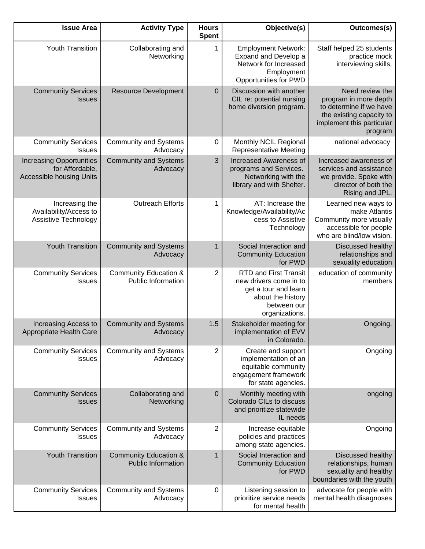| <b>Issue Area</b>                                                                     | <b>Activity Type</b>                                          | <b>Hours</b><br><b>Spent</b> | Objective(s)                                                                                                                         | <b>Outcomes(s)</b>                                                                                                                      |
|---------------------------------------------------------------------------------------|---------------------------------------------------------------|------------------------------|--------------------------------------------------------------------------------------------------------------------------------------|-----------------------------------------------------------------------------------------------------------------------------------------|
| Youth Transition                                                                      | Collaborating and<br>Networking                               | 1                            | <b>Employment Network:</b><br>Expand and Develop a<br>Network for Increased<br>Employment<br>Opportunities for PWD                   | Staff helped 25 students<br>practice mock<br>interviewing skills.                                                                       |
| <b>Community Services</b><br><b>Issues</b>                                            | <b>Resource Development</b>                                   | $\pmb{0}$                    | Discussion with another<br>CIL re: potential nursing<br>home diversion program.                                                      | Need review the<br>program in more depth<br>to determine if we have<br>the existing capacity to<br>implement this particular<br>program |
| <b>Community Services</b><br>Issues                                                   | <b>Community and Systems</b><br>Advocacy                      | 0                            | Monthly NCIL Regional<br><b>Representative Meeting</b>                                                                               | national advocacy                                                                                                                       |
| <b>Increasing Opportunities</b><br>for Affordable,<br><b>Accessible housing Units</b> | <b>Community and Systems</b><br>Advocacy                      | 3                            | <b>Increased Awareness of</b><br>programs and Services.<br>Networking with the<br>library and with Shelter.                          | Increased awareness of<br>services and assistance<br>we provide. Spoke with<br>director of both the<br>Rising and JPL.                  |
| Increasing the<br>Availability/Access to<br>Assistive Technology                      | <b>Outreach Efforts</b>                                       | 1                            | AT: Increase the<br>Knowledge/Availability/Ac<br>cess to Assistive<br>Technology                                                     | Learned new ways to<br>make Atlantis<br>Community more visually<br>accessible for people<br>who are blind/low vision.                   |
| <b>Youth Transition</b>                                                               | <b>Community and Systems</b><br>Advocacy                      | 1                            | Social Interaction and<br><b>Community Education</b><br>for PWD                                                                      | <b>Discussed healthy</b><br>relationships and<br>sexuality education                                                                    |
| <b>Community Services</b><br><b>Issues</b>                                            | <b>Community Education &amp;</b><br><b>Public Information</b> | 2                            | <b>RTD and First Transit</b><br>new drivers come in to<br>get a tour and learn<br>about the history<br>between our<br>organizations. | education of community<br>members                                                                                                       |
| Increasing Access to<br>Appropriate Health Care                                       | <b>Community and Systems</b><br>Advocacy                      | 1.5                          | Stakeholder meeting for<br>implementation of EVV<br>in Colorado.                                                                     | Ongoing.                                                                                                                                |
| <b>Community Services</b><br><b>Issues</b>                                            | <b>Community and Systems</b><br>Advocacy                      | 2                            | Create and support<br>implementation of an<br>equitable community<br>engagement framework<br>for state agencies.                     | Ongoing                                                                                                                                 |
| <b>Community Services</b><br><b>Issues</b>                                            | Collaborating and<br>Networking                               | $\mathbf 0$                  | Monthly meeting with<br>Colorado CILs to discuss<br>and prioritize statewide<br>IL needs                                             | ongoing                                                                                                                                 |
| <b>Community Services</b><br><b>Issues</b>                                            | <b>Community and Systems</b><br>Advocacy                      | 2                            | Increase equitable<br>policies and practices<br>among state agencies.                                                                | Ongoing                                                                                                                                 |
| <b>Youth Transition</b>                                                               | <b>Community Education &amp;</b><br><b>Public Information</b> | 1                            | Social Interaction and<br><b>Community Education</b><br>for PWD                                                                      | Discussed healthy<br>relationships, human<br>sexuality and healthy<br>boundaries with the youth                                         |
| <b>Community Services</b><br><b>Issues</b>                                            | <b>Community and Systems</b><br>Advocacy                      | 0                            | Listening session to<br>prioritize service needs<br>for mental health                                                                | advocate for people with<br>mental health disagnoses                                                                                    |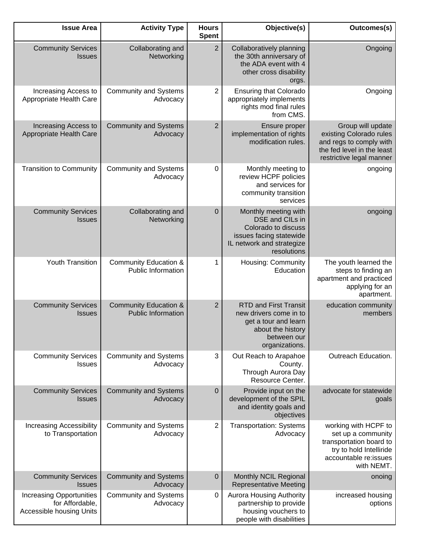| <b>Issue Area</b>                                                              | <b>Activity Type</b>                                          | <b>Hours</b><br><b>Spent</b> | Objective(s)                                                                                                                          | Outcomes(s)                                                                                                                             |
|--------------------------------------------------------------------------------|---------------------------------------------------------------|------------------------------|---------------------------------------------------------------------------------------------------------------------------------------|-----------------------------------------------------------------------------------------------------------------------------------------|
| <b>Community Services</b><br><b>Issues</b>                                     | Collaborating and<br>Networking                               | $\overline{2}$               | Collaboratively planning<br>the 30th anniversary of<br>the ADA event with 4<br>other cross disability<br>orgs.                        | Ongoing                                                                                                                                 |
| Increasing Access to<br>Appropriate Health Care                                | <b>Community and Systems</b><br>Advocacy                      | $\overline{2}$               | <b>Ensuring that Colorado</b><br>appropriately implements<br>rights mod final rules<br>from CMS.                                      | Ongoing                                                                                                                                 |
| Increasing Access to<br>Appropriate Health Care                                | <b>Community and Systems</b><br>Advocacy                      | $\overline{2}$               | Ensure proper<br>implementation of rights<br>modification rules.                                                                      | Group will update<br>existing Colorado rules<br>and regs to comply with<br>the fed level in the least<br>restrictive legal manner       |
| <b>Transition to Community</b>                                                 | <b>Community and Systems</b><br>Advocacy                      | 0                            | Monthly meeting to<br>review HCPF policies<br>and services for<br>community transition<br>services                                    | ongoing                                                                                                                                 |
| <b>Community Services</b><br><b>Issues</b>                                     | Collaborating and<br>Networking                               | $\mathbf 0$                  | Monthly meeting with<br>DSE and CILs in<br>Colorado to discuss<br>issues facing statewide<br>IL network and strategize<br>resolutions | ongoing                                                                                                                                 |
| Youth Transition                                                               | <b>Community Education &amp;</b><br>Public Information        | 1                            | Housing: Community<br>Education                                                                                                       | The youth learned the<br>steps to finding an<br>apartment and practiced<br>applying for an<br>apartment.                                |
| <b>Community Services</b><br><b>Issues</b>                                     | <b>Community Education &amp;</b><br><b>Public Information</b> | $\overline{2}$               | <b>RTD and First Transit</b><br>new drivers come in to<br>get a tour and learn<br>about the history<br>between our<br>organizations.  | education community<br>members                                                                                                          |
| <b>Community Services</b><br><b>Issues</b>                                     | <b>Community and Systems</b><br>Advocacy                      | 3                            | Out Reach to Arapahoe<br>County.<br>Through Aurora Day<br>Resource Center.                                                            | Outreach Education.                                                                                                                     |
| <b>Community Services</b><br><b>Issues</b>                                     | <b>Community and Systems</b><br>Advocacy                      | $\mathbf 0$                  | Provide input on the<br>development of the SPIL<br>and identity goals and<br>objectives                                               | advocate for statewide<br>goals                                                                                                         |
| <b>Increasing Accessibility</b><br>to Transportation                           | <b>Community and Systems</b><br>Advocacy                      | $\overline{c}$               | <b>Transportation: Systems</b><br>Advocacy                                                                                            | working with HCPF to<br>set up a community<br>transportation board to<br>try to hold Intelliride<br>accountable re:issues<br>with NEMT. |
| <b>Community Services</b><br><b>Issues</b>                                     | <b>Community and Systems</b><br>Advocacy                      | $\mathbf 0$                  | Monthly NCIL Regional<br><b>Representative Meeting</b>                                                                                | onoing                                                                                                                                  |
| <b>Increasing Opportunities</b><br>for Affordable,<br>Accessible housing Units | <b>Community and Systems</b><br>Advocacy                      | 0                            | <b>Aurora Housing Authority</b><br>partnership to provide<br>housing vouchers to<br>people with disabilities                          | increased housing<br>options                                                                                                            |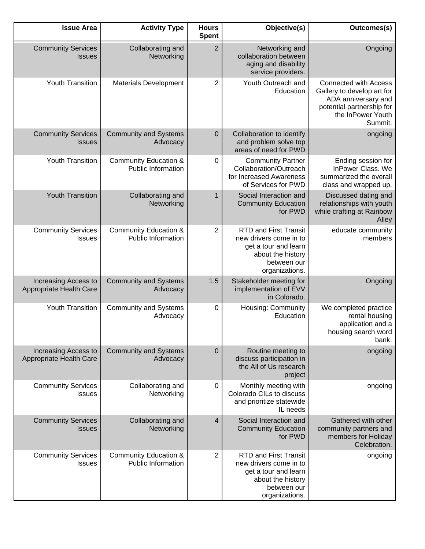| Outcomes(s)                                                                                                                                    | Objective(s)                                                                                                                         | <b>Hours</b><br><b>Spent</b> | <b>Activity Type</b>                                          | <b>Issue Area</b>                               |
|------------------------------------------------------------------------------------------------------------------------------------------------|--------------------------------------------------------------------------------------------------------------------------------------|------------------------------|---------------------------------------------------------------|-------------------------------------------------|
| Ongoing                                                                                                                                        | Networking and<br>collaboration between<br>aging and disability<br>service providers.                                                | $\overline{2}$               | Collaborating and<br>Networking                               | <b>Community Services</b><br><b>Issues</b>      |
| <b>Connected with Access</b><br>Gallery to develop art for<br>ADA anniversary and<br>potential partnership for<br>the InPower Youth<br>Summit. | Youth Outreach and<br>Education                                                                                                      | $\overline{2}$               | <b>Materials Development</b>                                  | Youth Transition                                |
| ongoing                                                                                                                                        | Collaboration to identify<br>and problem solve top<br>areas of need for PWD                                                          | $\mathbf 0$                  | <b>Community and Systems</b><br>Advocacy                      | <b>Community Services</b><br><b>Issues</b>      |
| Ending session for<br>InPower Class. We<br>summarized the overall<br>class and wrapped up.                                                     | <b>Community Partner</b><br>Collaboration/Outreach<br>for Increased Awareness<br>of Services for PWD                                 | 0                            | <b>Community Education &amp;</b><br>Public Information        | Youth Transition                                |
| Discussed dating and<br>relationships with youth<br>while crafting at Rainbow<br>Alley                                                         | Social Interaction and<br><b>Community Education</b><br>for PWD                                                                      | 1                            | Collaborating and<br>Networking                               | <b>Youth Transition</b>                         |
| educate community<br>members                                                                                                                   | <b>RTD and First Transit</b><br>new drivers come in to<br>get a tour and learn<br>about the history<br>between our<br>organizations. | 2                            | <b>Community Education &amp;</b><br><b>Public Information</b> | <b>Community Services</b><br><b>Issues</b>      |
| Ongoing                                                                                                                                        | Stakeholder meeting for<br>implementation of EVV<br>in Colorado.                                                                     | 1.5                          | <b>Community and Systems</b><br>Advocacy                      | Increasing Access to<br>Appropriate Health Care |
| We completed practice<br>rental housing<br>application and a<br>housing search word<br>bank.                                                   | Housing: Community<br>Education                                                                                                      | 0                            | <b>Community and Systems</b><br>Advocacy                      | Youth Transition                                |
| ongoing                                                                                                                                        | Routine meeting to<br>discuss participation in<br>the All of Us research<br>project                                                  | $\pmb{0}$                    | <b>Community and Systems</b><br>Advocacy                      | Increasing Access to<br>Appropriate Health Care |
| ongoing                                                                                                                                        | Monthly meeting with<br>Colorado CILs to discuss<br>and prioritize statewide<br>IL needs                                             | 0                            | Collaborating and<br>Networking                               | <b>Community Services</b><br><b>Issues</b>      |
| Gathered with other<br>community partners and<br>members for Holiday<br>Celebration.                                                           | Social Interaction and<br><b>Community Education</b><br>for PWD                                                                      | $\overline{4}$               | Collaborating and<br>Networking                               | <b>Community Services</b><br><b>Issues</b>      |
| ongoing                                                                                                                                        | <b>RTD and First Transit</b><br>new drivers come in to<br>get a tour and learn<br>about the history<br>between our<br>organizations. | 2                            | <b>Community Education &amp;</b><br><b>Public Information</b> | <b>Community Services</b><br><b>Issues</b>      |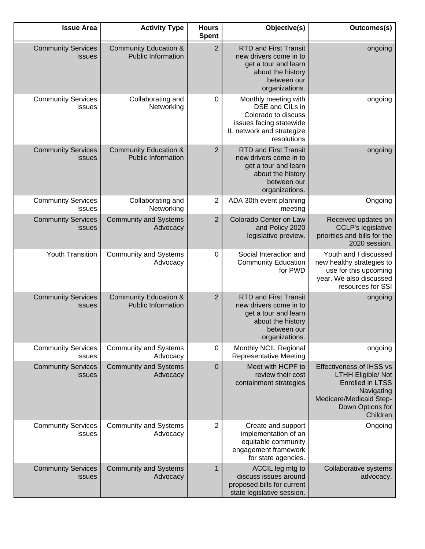| Outcomes(s)                                                                                                                                                      | Objective(s)                                                                                                                          | <b>Hours</b><br><b>Spent</b> | <b>Activity Type</b>                                          | <b>Issue Area</b>                          |
|------------------------------------------------------------------------------------------------------------------------------------------------------------------|---------------------------------------------------------------------------------------------------------------------------------------|------------------------------|---------------------------------------------------------------|--------------------------------------------|
| ongoing                                                                                                                                                          | <b>RTD and First Transit</b><br>new drivers come in to<br>get a tour and learn<br>about the history<br>between our<br>organizations.  | $\overline{2}$               | <b>Community Education &amp;</b><br><b>Public Information</b> | <b>Community Services</b><br><b>Issues</b> |
| ongoing                                                                                                                                                          | Monthly meeting with<br>DSE and CILs in<br>Colorado to discuss<br>issues facing statewide<br>IL network and strategize<br>resolutions | 0                            | Collaborating and<br>Networking                               | <b>Community Services</b><br>Issues        |
| ongoing                                                                                                                                                          | <b>RTD and First Transit</b><br>new drivers come in to<br>get a tour and learn<br>about the history<br>between our<br>organizations.  | $\overline{2}$               | <b>Community Education &amp;</b><br><b>Public Information</b> | <b>Community Services</b><br><b>Issues</b> |
| Ongoing                                                                                                                                                          | ADA 30th event planning<br>meeting                                                                                                    | $\overline{2}$               | Collaborating and<br>Networking                               | <b>Community Services</b><br><b>Issues</b> |
| Received updates on<br><b>CCLP's legislative</b><br>priorities and bills for the<br>2020 session.                                                                | Colorado Center on Law<br>and Policy 2020<br>legislative preview.                                                                     | $\overline{2}$               | <b>Community and Systems</b><br>Advocacy                      | <b>Community Services</b><br><b>Issues</b> |
| Youth and I discussed<br>new healthy strategies to<br>use for this upcoming<br>year. We also discussed<br>resources for SSI                                      | Social Interaction and<br><b>Community Education</b><br>for PWD                                                                       | 0                            | <b>Community and Systems</b><br>Advocacy                      | <b>Youth Transition</b>                    |
| ongoing                                                                                                                                                          | <b>RTD and First Transit</b><br>new drivers come in to<br>get a tour and learn<br>about the history<br>between our<br>organizations.  | $\overline{2}$               | <b>Community Education &amp;</b><br><b>Public Information</b> | <b>Community Services</b><br><b>Issues</b> |
| ongoing                                                                                                                                                          | Monthly NCIL Regional<br><b>Representative Meeting</b>                                                                                | $\pmb{0}$                    | <b>Community and Systems</b><br>Advocacy                      | <b>Community Services</b><br><b>Issues</b> |
| <b>Effectiveness of IHSS vs</b><br><b>LTHH Eligible/ Not</b><br><b>Enrolled in LTSS</b><br>Navigating<br>Medicare/Medicaid Step-<br>Down Options for<br>Children | Meet with HCPF to<br>review their cost<br>containment strategies                                                                      | $\mathbf 0$                  | <b>Community and Systems</b><br>Advocacy                      | <b>Community Services</b><br><b>Issues</b> |
| Ongoing                                                                                                                                                          | Create and support<br>implementation of an<br>equitable community<br>engagement framework<br>for state agencies.                      | 2                            | <b>Community and Systems</b><br>Advocacy                      | <b>Community Services</b><br><b>Issues</b> |
| Collaborative systems<br>advocacy.                                                                                                                               | ACCIL leg mtg to<br>discuss issues around<br>proposed bills for current<br>state legislative session.                                 | $\mathbf{1}$                 | <b>Community and Systems</b><br>Advocacy                      | <b>Community Services</b><br><b>Issues</b> |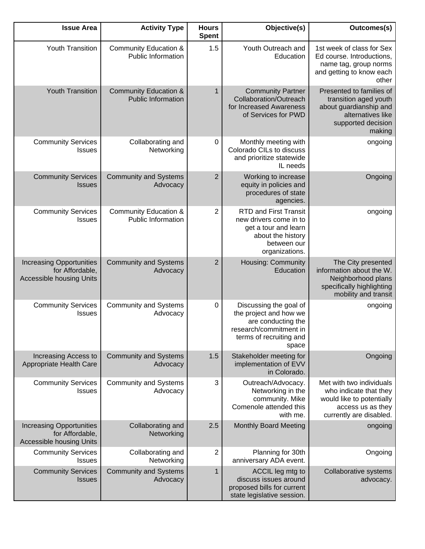| <b>Issue Area</b>                                                                     | <b>Activity Type</b>                                          | <b>Hours</b><br><b>Spent</b> | Objective(s)                                                                                                                         | Outcomes(s)                                                                                                                      |
|---------------------------------------------------------------------------------------|---------------------------------------------------------------|------------------------------|--------------------------------------------------------------------------------------------------------------------------------------|----------------------------------------------------------------------------------------------------------------------------------|
| Youth Transition                                                                      | <b>Community Education &amp;</b><br><b>Public Information</b> | 1.5                          | Youth Outreach and<br>Education                                                                                                      | 1st week of class for Sex<br>Ed course. Introductions,<br>name tag, group norms<br>and getting to know each<br>other             |
| <b>Youth Transition</b>                                                               | <b>Community Education &amp;</b><br><b>Public Information</b> | $\mathbf{1}$                 | <b>Community Partner</b><br>Collaboration/Outreach<br>for Increased Awareness<br>of Services for PWD                                 | Presented to families of<br>transition aged youth<br>about guardianship and<br>alternatives like<br>supported decision<br>making |
| <b>Community Services</b><br>Issues                                                   | Collaborating and<br>Networking                               | 0                            | Monthly meeting with<br>Colorado CILs to discuss<br>and prioritize statewide<br>IL needs                                             | ongoing                                                                                                                          |
| <b>Community Services</b><br><b>Issues</b>                                            | <b>Community and Systems</b><br>Advocacy                      | $\overline{2}$               | Working to increase<br>equity in policies and<br>procedures of state<br>agencies.                                                    | Ongoing                                                                                                                          |
| <b>Community Services</b><br><b>Issues</b>                                            | <b>Community Education &amp;</b><br><b>Public Information</b> | 2                            | <b>RTD and First Transit</b><br>new drivers come in to<br>get a tour and learn<br>about the history<br>between our<br>organizations. | ongoing                                                                                                                          |
| <b>Increasing Opportunities</b><br>for Affordable,<br><b>Accessible housing Units</b> | <b>Community and Systems</b><br>Advocacy                      | $\overline{2}$               | Housing: Community<br>Education                                                                                                      | The City presented<br>information about the W.<br>Neighborhood plans<br>specifically highlighting<br>mobility and transit        |
| <b>Community Services</b><br><b>Issues</b>                                            | <b>Community and Systems</b><br>Advocacy                      | $\pmb{0}$                    | Discussing the goal of<br>the project and how we<br>are conducting the<br>research/commitment in<br>terms of recruiting and<br>space | ongoing                                                                                                                          |
| Increasing Access to<br>Appropriate Health Care                                       | <b>Community and Systems</b><br>Advocacy                      | 1.5                          | Stakeholder meeting for<br>implementation of EVV<br>in Colorado.                                                                     | Ongoing                                                                                                                          |
| <b>Community Services</b><br><b>Issues</b>                                            | <b>Community and Systems</b><br>Advocacy                      | 3                            | Outreach/Advocacy.<br>Networking in the<br>community. Mike<br>Comenole attended this<br>with me.                                     | Met with two individuals<br>who indicate that they<br>would like to potentially<br>access us as they<br>currently are disabled.  |
| <b>Increasing Opportunities</b><br>for Affordable,<br><b>Accessible housing Units</b> | Collaborating and<br>Networking                               | 2.5                          | <b>Monthly Board Meeting</b>                                                                                                         | ongoing                                                                                                                          |
| <b>Community Services</b><br><b>Issues</b>                                            | Collaborating and<br>Networking                               | 2                            | Planning for 30th<br>anniversary ADA event.                                                                                          | Ongoing                                                                                                                          |
| <b>Community Services</b><br><b>Issues</b>                                            | <b>Community and Systems</b><br>Advocacy                      | $\mathbf{1}$                 | ACCIL leg mtg to<br>discuss issues around<br>proposed bills for current<br>state legislative session.                                | Collaborative systems<br>advocacy.                                                                                               |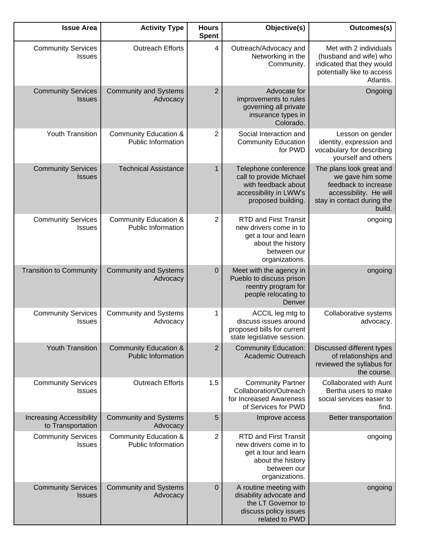| Outcomes(s)                                                                                                                            | Objective(s)                                                                                                                         | <b>Hours</b><br><b>Spent</b> | <b>Activity Type</b>                                          | <b>Issue Area</b>                                    |
|----------------------------------------------------------------------------------------------------------------------------------------|--------------------------------------------------------------------------------------------------------------------------------------|------------------------------|---------------------------------------------------------------|------------------------------------------------------|
| Met with 2 individuals<br>(husband and wife) who<br>indicated that they would<br>potentially like to access<br>Atlantis.               | Outreach/Advocacy and<br>Networking in the<br>Community.                                                                             | $\overline{4}$               | <b>Outreach Efforts</b>                                       | <b>Community Services</b><br>Issues                  |
| Ongoing                                                                                                                                | Advocate for<br>improvements to rules<br>governing all private<br>insurance types in<br>Colorado.                                    | $\overline{2}$               | <b>Community and Systems</b><br>Advocacy                      | <b>Community Services</b><br><b>Issues</b>           |
| Lesson on gender<br>identity, expression and<br>vocabulary for describing<br>yourself and others                                       | Social Interaction and<br><b>Community Education</b><br>for PWD                                                                      | 2                            | <b>Community Education &amp;</b><br>Public Information        | Youth Transition                                     |
| The plans look great and<br>we gave him some<br>feedback to increase<br>accessibility. He will<br>stay in contact during the<br>build. | Telephone conference<br>call to provide Michael<br>with feedback about<br>accessibility in LWW's<br>proposed building.               | 1                            | <b>Technical Assistance</b>                                   | <b>Community Services</b><br><b>Issues</b>           |
| ongoing                                                                                                                                | <b>RTD and First Transit</b><br>new drivers come in to<br>get a tour and learn<br>about the history<br>between our<br>organizations. | 2                            | <b>Community Education &amp;</b><br><b>Public Information</b> | <b>Community Services</b><br><b>Issues</b>           |
| ongoing                                                                                                                                | Meet with the agency in<br>Pueblo to discuss prison<br>reentry program for<br>people relocating to<br>Denver                         | 0                            | <b>Community and Systems</b><br>Advocacy                      | <b>Transition to Community</b>                       |
| Collaborative systems<br>advocacy.                                                                                                     | ACCIL leg mtg to<br>discuss issues around<br>proposed bills for current<br>state legislative session.                                | 1                            | <b>Community and Systems</b><br>Advocacy                      | <b>Community Services</b><br><b>Issues</b>           |
| Discussed different types<br>of relationships and<br>reviewed the syllabus for<br>the course.                                          | <b>Community Education:</b><br>Academic Outreach                                                                                     | $\overline{2}$               | <b>Community Education &amp;</b><br><b>Public Information</b> | <b>Youth Transition</b>                              |
| <b>Collaborated with Aunt</b><br>Bertha users to make<br>social services easier to<br>find.                                            | <b>Community Partner</b><br>Collaboration/Outreach<br>for Increased Awareness<br>of Services for PWD                                 | 1.5                          | <b>Outreach Efforts</b>                                       | <b>Community Services</b><br><b>Issues</b>           |
| Better transportation                                                                                                                  | Improve access                                                                                                                       | 5                            | <b>Community and Systems</b><br>Advocacy                      | <b>Increasing Accessibility</b><br>to Transportation |
| ongoing                                                                                                                                | <b>RTD and First Transit</b><br>new drivers come in to<br>get a tour and learn<br>about the history<br>between our<br>organizations. | 2                            | <b>Community Education &amp;</b><br>Public Information        | <b>Community Services</b><br><b>Issues</b>           |
| ongoing                                                                                                                                | A routine meeting with<br>disability advocate and<br>the LT Governor to<br>discuss policy issues<br>related to PWD                   | $\boldsymbol{0}$             | <b>Community and Systems</b><br>Advocacy                      | <b>Community Services</b><br><b>Issues</b>           |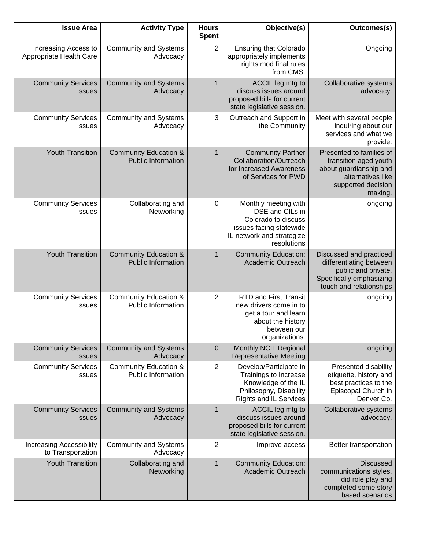| <b>Issue Area</b>                                    | <b>Activity Type</b>                                          | <b>Hours</b><br><b>Spent</b> | Objective(s)                                                                                                                          | Outcomes(s)                                                                                                                       |
|------------------------------------------------------|---------------------------------------------------------------|------------------------------|---------------------------------------------------------------------------------------------------------------------------------------|-----------------------------------------------------------------------------------------------------------------------------------|
| Increasing Access to<br>Appropriate Health Care      | <b>Community and Systems</b><br>Advocacy                      | $\overline{2}$               | <b>Ensuring that Colorado</b><br>appropriately implements<br>rights mod final rules<br>from CMS.                                      | Ongoing                                                                                                                           |
| <b>Community Services</b><br><b>Issues</b>           | <b>Community and Systems</b><br>Advocacy                      | 1                            | ACCIL leg mtg to<br>discuss issues around<br>proposed bills for current<br>state legislative session.                                 | Collaborative systems<br>advocacy.                                                                                                |
| <b>Community Services</b><br><b>Issues</b>           | <b>Community and Systems</b><br>Advocacy                      | 3                            | Outreach and Support in<br>the Community                                                                                              | Meet with several people<br>inquiring about our<br>services and what we<br>provide.                                               |
| <b>Youth Transition</b>                              | <b>Community Education &amp;</b><br><b>Public Information</b> | 1                            | <b>Community Partner</b><br>Collaboration/Outreach<br>for Increased Awareness<br>of Services for PWD                                  | Presented to families of<br>transition aged youth<br>about guardianship and<br>alternatives like<br>supported decision<br>making. |
| <b>Community Services</b><br><b>Issues</b>           | Collaborating and<br>Networking                               | $\mathbf 0$                  | Monthly meeting with<br>DSE and CILs in<br>Colorado to discuss<br>issues facing statewide<br>IL network and strategize<br>resolutions | ongoing                                                                                                                           |
| <b>Youth Transition</b>                              | <b>Community Education &amp;</b><br><b>Public Information</b> | 1                            | <b>Community Education:</b><br>Academic Outreach                                                                                      | Discussed and practiced<br>differentiating between<br>public and private.<br>Specifically emphasizing<br>touch and relationships  |
| <b>Community Services</b><br><b>Issues</b>           | <b>Community Education &amp;</b><br><b>Public Information</b> | 2                            | <b>RTD and First Transit</b><br>new drivers come in to<br>get a tour and learn<br>about the history<br>between our<br>organizations.  | ongoing                                                                                                                           |
| <b>Community Services</b><br><b>Issues</b>           | <b>Community and Systems</b><br>Advocacy                      | $\mathbf 0$                  | Monthly NCIL Regional<br><b>Representative Meeting</b>                                                                                | ongoing                                                                                                                           |
| <b>Community Services</b><br><b>Issues</b>           | <b>Community Education &amp;</b><br><b>Public Information</b> | 2                            | Develop/Participate in<br>Trainings to Increase<br>Knowledge of the IL<br>Philosophy, Disability<br><b>Rights and IL Services</b>     | Presented disability<br>etiquette, history and<br>best practices to the<br>Episcopal Church in<br>Denver Co.                      |
| <b>Community Services</b><br><b>Issues</b>           | <b>Community and Systems</b><br>Advocacy                      | 1                            | ACCIL leg mtg to<br>discuss issues around<br>proposed bills for current<br>state legislative session.                                 | Collaborative systems<br>advocacy.                                                                                                |
| <b>Increasing Accessibility</b><br>to Transportation | <b>Community and Systems</b><br>Advocacy                      | 2                            | Improve access                                                                                                                        | Better transportation                                                                                                             |
| <b>Youth Transition</b>                              | Collaborating and<br>Networking                               | $\mathbf 1$                  | <b>Community Education:</b><br>Academic Outreach                                                                                      | <b>Discussed</b><br>communications styles,<br>did role play and<br>completed some story<br>based scenarios                        |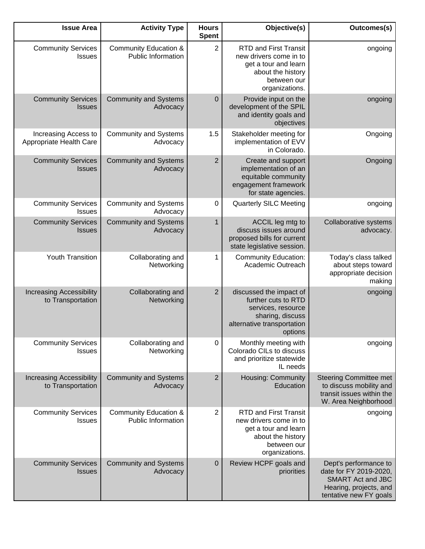| <b>Issue Area</b>                                    | <b>Activity Type</b>                                          | <b>Hours</b><br><b>Spent</b> | Objective(s)                                                                                                                         | Outcomes(s)                                                                                                                     |
|------------------------------------------------------|---------------------------------------------------------------|------------------------------|--------------------------------------------------------------------------------------------------------------------------------------|---------------------------------------------------------------------------------------------------------------------------------|
| <b>Community Services</b><br><b>Issues</b>           | <b>Community Education &amp;</b><br><b>Public Information</b> | $\overline{2}$               | <b>RTD and First Transit</b><br>new drivers come in to<br>get a tour and learn<br>about the history<br>between our<br>organizations. | ongoing                                                                                                                         |
| <b>Community Services</b><br><b>Issues</b>           | <b>Community and Systems</b><br>Advocacy                      | $\mathbf 0$                  | Provide input on the<br>development of the SPIL<br>and identity goals and<br>objectives                                              | ongoing                                                                                                                         |
| Increasing Access to<br>Appropriate Health Care      | <b>Community and Systems</b><br>Advocacy                      | 1.5                          | Stakeholder meeting for<br>implementation of EVV<br>in Colorado.                                                                     | Ongoing                                                                                                                         |
| <b>Community Services</b><br><b>Issues</b>           | <b>Community and Systems</b><br>Advocacy                      | $\overline{2}$               | Create and support<br>implementation of an<br>equitable community<br>engagement framework<br>for state agencies.                     | Ongoing                                                                                                                         |
| <b>Community Services</b><br><b>Issues</b>           | <b>Community and Systems</b><br>Advocacy                      | 0                            | <b>Quarterly SILC Meeting</b>                                                                                                        | ongoing                                                                                                                         |
| <b>Community Services</b><br><b>Issues</b>           | <b>Community and Systems</b><br>Advocacy                      | $\mathbf{1}$                 | ACCIL leg mtg to<br>discuss issues around<br>proposed bills for current<br>state legislative session.                                | Collaborative systems<br>advocacy.                                                                                              |
| Youth Transition                                     | Collaborating and<br>Networking                               | 1                            | <b>Community Education:</b><br>Academic Outreach                                                                                     | Today's class talked<br>about steps toward<br>appropriate decision<br>making                                                    |
| <b>Increasing Accessibility</b><br>to Transportation | Collaborating and<br>Networking                               | $\overline{2}$               | discussed the impact of<br>further cuts to RTD<br>services, resource<br>sharing, discuss<br>alternative transportation<br>options    | ongoing                                                                                                                         |
| <b>Community Services</b><br>Issues                  | Collaborating and<br>Networking                               | $\mathbf 0$                  | Monthly meeting with<br>Colorado CILs to discuss<br>and prioritize statewide<br>IL needs                                             | ongoing                                                                                                                         |
| <b>Increasing Accessibility</b><br>to Transportation | <b>Community and Systems</b><br>Advocacy                      | $\overline{2}$               | Housing: Community<br>Education                                                                                                      | <b>Steering Committee met</b><br>to discuss mobility and<br>transit issues within the<br>W. Area Neighborhood                   |
| <b>Community Services</b><br><b>Issues</b>           | <b>Community Education &amp;</b><br><b>Public Information</b> | $\overline{2}$               | <b>RTD and First Transit</b><br>new drivers come in to<br>get a tour and learn<br>about the history<br>between our<br>organizations. | ongoing                                                                                                                         |
| <b>Community Services</b><br><b>Issues</b>           | <b>Community and Systems</b><br>Advocacy                      | $\mathbf 0$                  | Review HCPF goals and<br>priorities                                                                                                  | Dept's performance to<br>date for FY 2019-2020,<br><b>SMART Act and JBC</b><br>Hearing, projects, and<br>tentative new FY goals |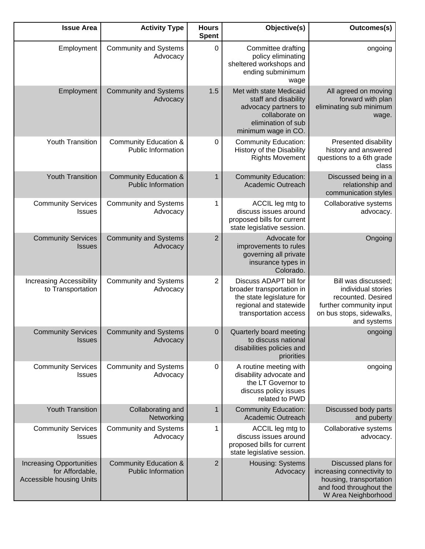| Outcomes(s)                                                                                                                           | Objective(s)                                                                                                                           | <b>Hours</b><br><b>Spent</b> | <b>Activity Type</b>                                          | <b>Issue Area</b>                                                                     |
|---------------------------------------------------------------------------------------------------------------------------------------|----------------------------------------------------------------------------------------------------------------------------------------|------------------------------|---------------------------------------------------------------|---------------------------------------------------------------------------------------|
| ongoing                                                                                                                               | Committee drafting<br>policy eliminating<br>sheltered workshops and<br>ending subminimum<br>wage                                       | $\mathbf 0$                  | <b>Community and Systems</b><br>Advocacy                      | Employment                                                                            |
| All agreed on moving<br>forward with plan<br>eliminating sub minimum<br>wage.                                                         | Met with state Medicaid<br>staff and disability<br>advocacy partners to<br>collaborate on<br>elimination of sub<br>minimum wage in CO. | 1.5                          | <b>Community and Systems</b><br>Advocacy                      | Employment                                                                            |
| Presented disability<br>history and answered<br>questions to a 6th grade<br>class                                                     | <b>Community Education:</b><br>History of the Disability<br><b>Rights Movement</b>                                                     | $\mathbf 0$                  | <b>Community Education &amp;</b><br><b>Public Information</b> | Youth Transition                                                                      |
| Discussed being in a<br>relationship and<br>communication styles                                                                      | <b>Community Education:</b><br>Academic Outreach                                                                                       | 1                            | <b>Community Education &amp;</b><br><b>Public Information</b> | <b>Youth Transition</b>                                                               |
| Collaborative systems<br>advocacy.                                                                                                    | ACCIL leg mtg to<br>discuss issues around<br>proposed bills for current<br>state legislative session.                                  | 1                            | <b>Community and Systems</b><br>Advocacy                      | <b>Community Services</b><br><b>Issues</b>                                            |
| Ongoing                                                                                                                               | Advocate for<br>improvements to rules<br>governing all private<br>insurance types in<br>Colorado.                                      | $\overline{2}$               | <b>Community and Systems</b><br>Advocacy                      | <b>Community Services</b><br><b>Issues</b>                                            |
| Bill was discussed;<br>individual stories<br>recounted. Desired<br>further community input<br>on bus stops, sidewalks,<br>and systems | Discuss ADAPT bill for<br>broader transportation in<br>the state legislature for<br>regional and statewide<br>transportation access    | $\overline{2}$               | <b>Community and Systems</b><br>Advocacy                      | <b>Increasing Accessibility</b><br>to Transportation                                  |
| ongoing                                                                                                                               | Quarterly board meeting<br>to discuss national<br>disabilities policies and<br>priorities                                              | $\mathbf 0$                  | Community Services   Community and Systems<br>Advocacy        | <b>Issues</b>                                                                         |
| ongoing                                                                                                                               | A routine meeting with<br>disability advocate and<br>the LT Governor to<br>discuss policy issues<br>related to PWD                     | 0                            | <b>Community and Systems</b><br>Advocacy                      | <b>Community Services</b><br><b>Issues</b>                                            |
| Discussed body parts<br>and puberty                                                                                                   | <b>Community Education:</b><br>Academic Outreach                                                                                       | 1                            | Collaborating and<br>Networking                               | <b>Youth Transition</b>                                                               |
| Collaborative systems<br>advocacy.                                                                                                    | ACCIL leg mtg to<br>discuss issues around<br>proposed bills for current<br>state legislative session.                                  | 1                            | <b>Community and Systems</b><br>Advocacy                      | <b>Community Services</b><br>Issues                                                   |
| Discussed plans for<br>increasing connectivity to<br>housing, transportation<br>and food throughout the<br>W Area Neighborhood        | Housing: Systems<br>Advocacy                                                                                                           | $\overline{2}$               | <b>Community Education &amp;</b><br><b>Public Information</b> | <b>Increasing Opportunities</b><br>for Affordable,<br><b>Accessible housing Units</b> |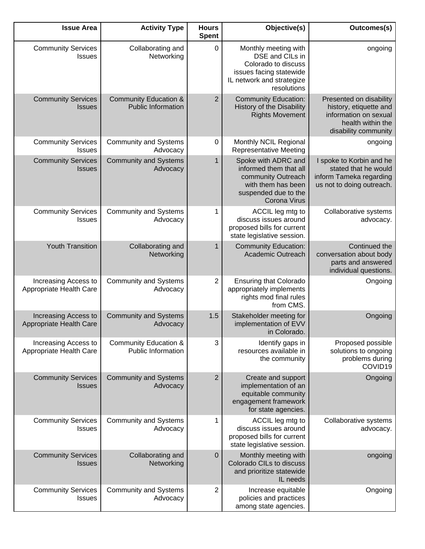| <b>Issue Area</b>                               | <b>Activity Type</b>                                          | <b>Hours</b><br><b>Spent</b> | Objective(s)                                                                                                                             | Outcomes(s)                                                                                                             |
|-------------------------------------------------|---------------------------------------------------------------|------------------------------|------------------------------------------------------------------------------------------------------------------------------------------|-------------------------------------------------------------------------------------------------------------------------|
| <b>Community Services</b><br><b>Issues</b>      | Collaborating and<br>Networking                               | $\mathbf 0$                  | Monthly meeting with<br>DSE and CILs in<br>Colorado to discuss<br>issues facing statewide<br>IL network and strategize<br>resolutions    | ongoing                                                                                                                 |
| <b>Community Services</b><br><b>Issues</b>      | <b>Community Education &amp;</b><br><b>Public Information</b> | $\overline{2}$               | <b>Community Education:</b><br>History of the Disability<br><b>Rights Movement</b>                                                       | Presented on disability<br>history, etiquette and<br>information on sexual<br>health within the<br>disability community |
| <b>Community Services</b><br><b>Issues</b>      | <b>Community and Systems</b><br>Advocacy                      | $\mathbf 0$                  | Monthly NCIL Regional<br><b>Representative Meeting</b>                                                                                   | ongoing                                                                                                                 |
| <b>Community Services</b><br><b>Issues</b>      | <b>Community and Systems</b><br>Advocacy                      | 1                            | Spoke with ADRC and<br>informed them that all<br>community Outreach<br>with them has been<br>suspended due to the<br><b>Corona Virus</b> | I spoke to Korbin and he<br>stated that he would<br>inform Tameka regarding<br>us not to doing outreach.                |
| <b>Community Services</b><br><b>Issues</b>      | <b>Community and Systems</b><br>Advocacy                      | 1                            | ACCIL leg mtg to<br>discuss issues around<br>proposed bills for current<br>state legislative session.                                    | Collaborative systems<br>advocacy.                                                                                      |
| <b>Youth Transition</b>                         | Collaborating and<br>Networking                               | 1                            | <b>Community Education:</b><br><b>Academic Outreach</b>                                                                                  | Continued the<br>conversation about body<br>parts and answered<br>individual questions.                                 |
| Increasing Access to<br>Appropriate Health Care | <b>Community and Systems</b><br>Advocacy                      | $\overline{2}$               | <b>Ensuring that Colorado</b><br>appropriately implements<br>rights mod final rules<br>from CMS.                                         | Ongoing                                                                                                                 |
| Increasing Access to<br>Appropriate Health Care | <b>Community and Systems</b><br>Advocacy                      | 1.5                          | Stakeholder meeting for<br>implementation of EVV<br>in Colorado.                                                                         | Ongoing                                                                                                                 |
| Increasing Access to<br>Appropriate Health Care | <b>Community Education &amp;</b><br><b>Public Information</b> | 3                            | Identify gaps in<br>resources available in<br>the community                                                                              | Proposed possible<br>solutions to ongoing<br>problems during<br>COVID19                                                 |
| <b>Community Services</b><br><b>Issues</b>      | <b>Community and Systems</b><br>Advocacy                      | $\overline{2}$               | Create and support<br>implementation of an<br>equitable community<br>engagement framework<br>for state agencies.                         | Ongoing                                                                                                                 |
| <b>Community Services</b><br><b>Issues</b>      | <b>Community and Systems</b><br>Advocacy                      | 1                            | ACCIL leg mtg to<br>discuss issues around<br>proposed bills for current<br>state legislative session.                                    | Collaborative systems<br>advocacy.                                                                                      |
| <b>Community Services</b><br><b>Issues</b>      | Collaborating and<br>Networking                               | $\mathbf 0$                  | Monthly meeting with<br>Colorado CILs to discuss<br>and prioritize statewide<br>IL needs                                                 | ongoing                                                                                                                 |
| <b>Community Services</b><br>Issues             | <b>Community and Systems</b><br>Advocacy                      | $\overline{2}$               | Increase equitable<br>policies and practices<br>among state agencies.                                                                    | Ongoing                                                                                                                 |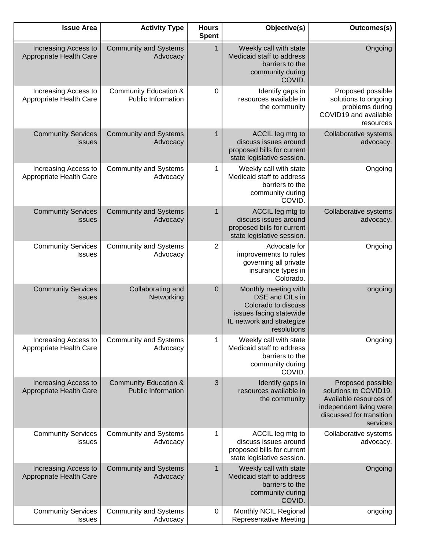| <b>Issue Area</b>                               | <b>Activity Type</b>                                          | <b>Hours</b><br><b>Spent</b> | Objective(s)                                                                                                                          | Outcomes(s)                                                                                                                             |
|-------------------------------------------------|---------------------------------------------------------------|------------------------------|---------------------------------------------------------------------------------------------------------------------------------------|-----------------------------------------------------------------------------------------------------------------------------------------|
| Increasing Access to<br>Appropriate Health Care | <b>Community and Systems</b><br>Advocacy                      | $\mathbf{1}$                 | Weekly call with state<br>Medicaid staff to address<br>barriers to the<br>community during<br>COVID.                                  | Ongoing                                                                                                                                 |
| Increasing Access to<br>Appropriate Health Care | <b>Community Education &amp;</b><br><b>Public Information</b> | 0                            | Identify gaps in<br>resources available in<br>the community                                                                           | Proposed possible<br>solutions to ongoing<br>problems during<br>COVID19 and available<br>resources                                      |
| <b>Community Services</b><br><b>Issues</b>      | <b>Community and Systems</b><br>Advocacy                      | $\mathbf{1}$                 | ACCIL leg mtg to<br>discuss issues around<br>proposed bills for current<br>state legislative session.                                 | Collaborative systems<br>advocacy.                                                                                                      |
| Increasing Access to<br>Appropriate Health Care | <b>Community and Systems</b><br>Advocacy                      | 1                            | Weekly call with state<br>Medicaid staff to address<br>barriers to the<br>community during<br>COVID.                                  | Ongoing                                                                                                                                 |
| <b>Community Services</b><br><b>Issues</b>      | <b>Community and Systems</b><br>Advocacy                      | 1                            | ACCIL leg mtg to<br>discuss issues around<br>proposed bills for current<br>state legislative session.                                 | Collaborative systems<br>advocacy.                                                                                                      |
| <b>Community Services</b><br><b>Issues</b>      | <b>Community and Systems</b><br>Advocacy                      | 2                            | Advocate for<br>improvements to rules<br>governing all private<br>insurance types in<br>Colorado.                                     | Ongoing                                                                                                                                 |
| <b>Community Services</b><br><b>Issues</b>      | Collaborating and<br>Networking                               | $\pmb{0}$                    | Monthly meeting with<br>DSE and CILs in<br>Colorado to discuss<br>issues facing statewide<br>IL network and strategize<br>resolutions | ongoing                                                                                                                                 |
| Increasing Access to<br>Appropriate Health Care | <b>Community and Systems</b><br>Advocacy                      | 1                            | Weekly call with state<br>Medicaid staff to address<br>barriers to the<br>community during<br>COVID.                                  | Ongoing                                                                                                                                 |
| Increasing Access to<br>Appropriate Health Care | <b>Community Education &amp;</b><br><b>Public Information</b> | 3                            | Identify gaps in<br>resources available in<br>the community                                                                           | Proposed possible<br>solutions to COVID19.<br>Available resources of<br>independent living were<br>discussed for transition<br>services |
| <b>Community Services</b><br><b>Issues</b>      | <b>Community and Systems</b><br>Advocacy                      | 1                            | ACCIL leg mtg to<br>discuss issues around<br>proposed bills for current<br>state legislative session.                                 | Collaborative systems<br>advocacy.                                                                                                      |
| Increasing Access to<br>Appropriate Health Care | <b>Community and Systems</b><br>Advocacy                      | $\mathbf{1}$                 | Weekly call with state<br>Medicaid staff to address<br>barriers to the<br>community during<br>COVID.                                  | Ongoing                                                                                                                                 |
| <b>Community Services</b><br><b>Issues</b>      | <b>Community and Systems</b><br>Advocacy                      | 0                            | Monthly NCIL Regional<br><b>Representative Meeting</b>                                                                                | ongoing                                                                                                                                 |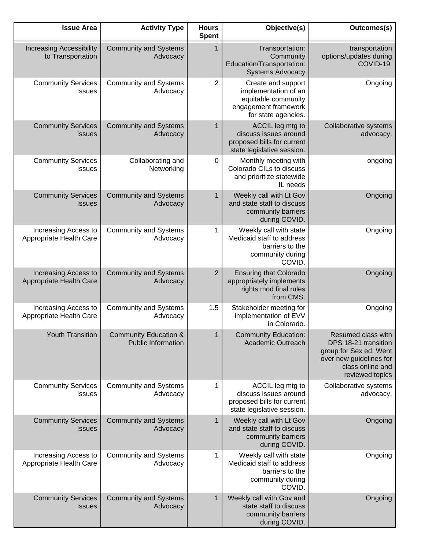| Outcomes(s)                                                                                                                            | Objective(s)                                                                                                     | <b>Hours</b><br><b>Spent</b> | <b>Activity Type</b>                                          | <b>Issue Area</b>                                    |
|----------------------------------------------------------------------------------------------------------------------------------------|------------------------------------------------------------------------------------------------------------------|------------------------------|---------------------------------------------------------------|------------------------------------------------------|
| transportation<br>options/updates during<br>COVID-19.                                                                                  | Transportation:<br>Community<br>Education/Transportation:<br><b>Systems Advocacy</b>                             | 1                            | <b>Community and Systems</b><br>Advocacy                      | <b>Increasing Accessibility</b><br>to Transportation |
| Ongoing                                                                                                                                | Create and support<br>implementation of an<br>equitable community<br>engagement framework<br>for state agencies. | 2                            | <b>Community and Systems</b><br>Advocacy                      | <b>Community Services</b><br><b>Issues</b>           |
| Collaborative systems<br>advocacy.                                                                                                     | ACCIL leg mtg to<br>discuss issues around<br>proposed bills for current<br>state legislative session.            | $\mathbf{1}$                 | <b>Community and Systems</b><br>Advocacy                      | <b>Community Services</b><br><b>Issues</b>           |
| ongoing                                                                                                                                | Monthly meeting with<br>Colorado CILs to discuss<br>and prioritize statewide<br>IL needs                         | 0                            | Collaborating and<br>Networking                               | <b>Community Services</b><br><b>Issues</b>           |
| Ongoing                                                                                                                                | Weekly call with Lt Gov<br>and state staff to discuss<br>community barriers<br>during COVID.                     | $\mathbf{1}$                 | <b>Community and Systems</b><br>Advocacy                      | <b>Community Services</b><br><b>Issues</b>           |
| Ongoing                                                                                                                                | Weekly call with state<br>Medicaid staff to address<br>barriers to the<br>community during<br>COVID.             | 1                            | <b>Community and Systems</b><br>Advocacy                      | Increasing Access to<br>Appropriate Health Care      |
| Ongoing                                                                                                                                | <b>Ensuring that Colorado</b><br>appropriately implements<br>rights mod final rules<br>from CMS.                 | $\overline{2}$               | <b>Community and Systems</b><br>Advocacy                      | Increasing Access to<br>Appropriate Health Care      |
| Ongoing                                                                                                                                | Stakeholder meeting for<br>implementation of EVV<br>in Colorado.                                                 | 1.5                          | <b>Community and Systems</b><br>Advocacy                      | Increasing Access to<br>Appropriate Health Care      |
| Resumed class with<br>DPS 18-21 transition<br>group for Sex ed. Went<br>over new guidelines for<br>class online and<br>reviewed topics | <b>Community Education:</b><br>Academic Outreach                                                                 | $\mathbf{1}$                 | <b>Community Education &amp;</b><br><b>Public Information</b> | <b>Youth Transition</b>                              |
| Collaborative systems<br>advocacy.                                                                                                     | ACCIL leg mtg to<br>discuss issues around<br>proposed bills for current<br>state legislative session.            | 1                            | <b>Community and Systems</b><br>Advocacy                      | <b>Community Services</b><br><b>Issues</b>           |
| Ongoing                                                                                                                                | Weekly call with Lt Gov<br>and state staff to discuss<br>community barriers<br>during COVID.                     | $\mathbf{1}$                 | <b>Community and Systems</b><br>Advocacy                      | <b>Community Services</b><br><b>Issues</b>           |
| Ongoing                                                                                                                                | Weekly call with state<br>Medicaid staff to address<br>barriers to the<br>community during<br>COVID.             | 1                            | <b>Community and Systems</b><br>Advocacy                      | Increasing Access to<br>Appropriate Health Care      |
| Ongoing                                                                                                                                | Weekly call with Gov and<br>state staff to discuss<br>community barriers<br>during COVID.                        | $\mathbf{1}$                 | <b>Community and Systems</b><br>Advocacy                      | <b>Community Services</b><br><b>Issues</b>           |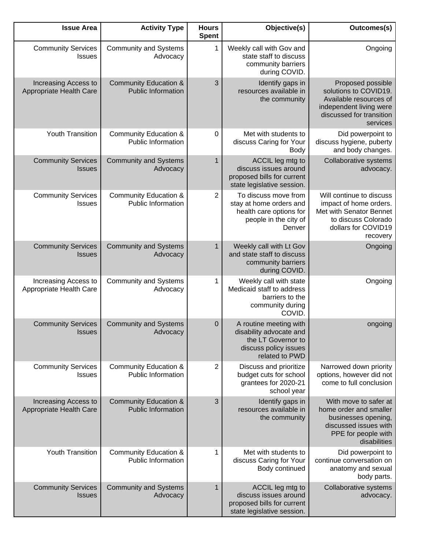| Outcomes(s)                                                                                                                             | Objective(s)                                                                                                       | <b>Hours</b><br><b>Spent</b> | <b>Activity Type</b>                                          | <b>Issue Area</b>                               |
|-----------------------------------------------------------------------------------------------------------------------------------------|--------------------------------------------------------------------------------------------------------------------|------------------------------|---------------------------------------------------------------|-------------------------------------------------|
| Ongoing                                                                                                                                 | Weekly call with Gov and<br>state staff to discuss<br>community barriers<br>during COVID.                          | 1                            | <b>Community and Systems</b><br>Advocacy                      | <b>Community Services</b><br>Issues             |
| Proposed possible<br>solutions to COVID19.<br>Available resources of<br>independent living were<br>discussed for transition<br>services | Identify gaps in<br>resources available in<br>the community                                                        | 3                            | <b>Community Education &amp;</b><br><b>Public Information</b> | Increasing Access to<br>Appropriate Health Care |
| Did powerpoint to<br>discuss hygiene, puberty<br>and body changes.                                                                      | Met with students to<br>discuss Caring for Your<br>Body                                                            | $\pmb{0}$                    | <b>Community Education &amp;</b><br><b>Public Information</b> | Youth Transition                                |
| Collaborative systems<br>advocacy.                                                                                                      | ACCIL leg mtg to<br>discuss issues around<br>proposed bills for current<br>state legislative session.              | 1                            | <b>Community and Systems</b><br>Advocacy                      | <b>Community Services</b><br><b>Issues</b>      |
| Will continue to discuss<br>impact of home orders.<br>Met with Senator Bennet<br>to discuss Colorado<br>dollars for COVID19<br>recovery | To discuss move from<br>stay at home orders and<br>health care options for<br>people in the city of<br>Denver      | 2                            | <b>Community Education &amp;</b><br><b>Public Information</b> | <b>Community Services</b><br><b>Issues</b>      |
| Ongoing                                                                                                                                 | Weekly call with Lt Gov<br>and state staff to discuss<br>community barriers<br>during COVID.                       | $\mathbf{1}$                 | <b>Community and Systems</b><br>Advocacy                      | <b>Community Services</b><br><b>Issues</b>      |
| Ongoing                                                                                                                                 | Weekly call with state<br>Medicaid staff to address<br>barriers to the<br>community during<br>COVID.               | 1                            | <b>Community and Systems</b><br>Advocacy                      | Increasing Access to<br>Appropriate Health Care |
| ongoing                                                                                                                                 | A routine meeting with<br>disability advocate and<br>the LT Governor to<br>discuss policy issues<br>related to PWD | $\mathbf 0$                  | <b>Community and Systems</b><br>Advocacy                      | <b>Community Services</b><br><b>Issues</b>      |
| Narrowed down priority<br>options, however did not<br>come to full conclusion                                                           | Discuss and prioritize<br>budget cuts for school<br>grantees for 2020-21<br>school year                            | 2                            | <b>Community Education &amp;</b><br><b>Public Information</b> | <b>Community Services</b><br><b>Issues</b>      |
| With move to safer at<br>home order and smaller<br>businesses opening,<br>discussed issues with<br>PPE for people with<br>disabilities  | Identify gaps in<br>resources available in<br>the community                                                        | 3                            | <b>Community Education &amp;</b><br><b>Public Information</b> | Increasing Access to<br>Appropriate Health Care |
| Did powerpoint to<br>continue conversation on<br>anatomy and sexual<br>body parts.                                                      | Met with students to<br>discuss Caring for Your<br>Body continued                                                  | 1                            | Community Education &<br>Public Information                   | Youth Transition                                |
| Collaborative systems<br>advocacy.                                                                                                      | ACCIL leg mtg to<br>discuss issues around<br>proposed bills for current<br>state legislative session.              | $\mathbf{1}$                 | <b>Community and Systems</b><br>Advocacy                      | <b>Community Services</b><br><b>Issues</b>      |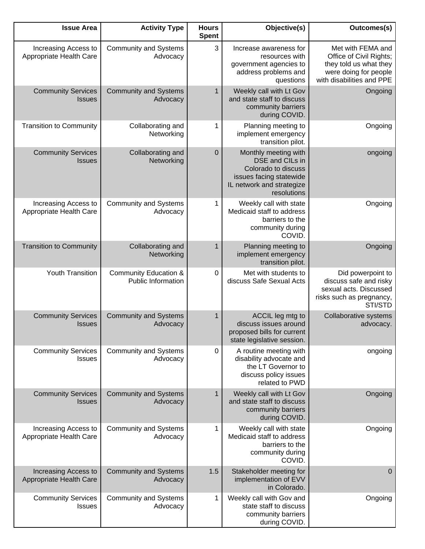| <b>Issue Area</b>                               | <b>Activity Type</b>                                          | <b>Hours</b><br><b>Spent</b> | Objective(s)                                                                                                                          | Outcomes(s)                                                                                                                  |
|-------------------------------------------------|---------------------------------------------------------------|------------------------------|---------------------------------------------------------------------------------------------------------------------------------------|------------------------------------------------------------------------------------------------------------------------------|
| Increasing Access to<br>Appropriate Health Care | <b>Community and Systems</b><br>Advocacy                      | 3                            | Increase awareness for<br>resources with<br>government agencies to<br>address problems and<br>questions                               | Met with FEMA and<br>Office of Civil Rights;<br>they told us what they<br>were doing for people<br>with disabilities and PPE |
| <b>Community Services</b><br><b>Issues</b>      | <b>Community and Systems</b><br>Advocacy                      | $\mathbf{1}$                 | Weekly call with Lt Gov<br>and state staff to discuss<br>community barriers<br>during COVID.                                          | Ongoing                                                                                                                      |
| <b>Transition to Community</b>                  | Collaborating and<br>Networking                               | 1                            | Planning meeting to<br>implement emergency<br>transition pilot.                                                                       | Ongoing                                                                                                                      |
| <b>Community Services</b><br><b>Issues</b>      | Collaborating and<br>Networking                               | $\overline{0}$               | Monthly meeting with<br>DSE and CILs in<br>Colorado to discuss<br>issues facing statewide<br>IL network and strategize<br>resolutions | ongoing                                                                                                                      |
| Increasing Access to<br>Appropriate Health Care | <b>Community and Systems</b><br>Advocacy                      | 1                            | Weekly call with state<br>Medicaid staff to address<br>barriers to the<br>community during<br>COVID.                                  | Ongoing                                                                                                                      |
| <b>Transition to Community</b>                  | Collaborating and<br>Networking                               | 1                            | Planning meeting to<br>implement emergency<br>transition pilot.                                                                       | Ongoing                                                                                                                      |
| Youth Transition                                | <b>Community Education &amp;</b><br><b>Public Information</b> | $\mathbf 0$                  | Met with students to<br>discuss Safe Sexual Acts                                                                                      | Did powerpoint to<br>discuss safe and risky<br>sexual acts. Discussed<br>risks such as pregnancy,<br>STI/STD                 |
| <b>Community Services</b><br><b>Issues</b>      | <b>Community and Systems</b><br>Advocacy                      | $\mathbf{1}$                 | ACCIL leg mtg to<br>discuss issues around<br>proposed bills for current<br>state legislative session.                                 | <b>Collaborative systems</b><br>advocacy.                                                                                    |
| <b>Community Services</b><br><b>Issues</b>      | <b>Community and Systems</b><br>Advocacy                      | 0                            | A routine meeting with<br>disability advocate and<br>the LT Governor to<br>discuss policy issues<br>related to PWD                    | ongoing                                                                                                                      |
| <b>Community Services</b><br><b>Issues</b>      | <b>Community and Systems</b><br>Advocacy                      | $\mathbf{1}$                 | Weekly call with Lt Gov<br>and state staff to discuss<br>community barriers<br>during COVID.                                          | Ongoing                                                                                                                      |
| Increasing Access to<br>Appropriate Health Care | <b>Community and Systems</b><br>Advocacy                      | $\mathbf{1}$                 | Weekly call with state<br>Medicaid staff to address<br>barriers to the<br>community during<br>COVID.                                  | Ongoing                                                                                                                      |
| Increasing Access to<br>Appropriate Health Care | <b>Community and Systems</b><br>Advocacy                      | 1.5                          | Stakeholder meeting for<br>implementation of EVV<br>in Colorado.                                                                      | 0                                                                                                                            |
| <b>Community Services</b><br><b>Issues</b>      | <b>Community and Systems</b><br>Advocacy                      | 1                            | Weekly call with Gov and<br>state staff to discuss<br>community barriers<br>during COVID.                                             | Ongoing                                                                                                                      |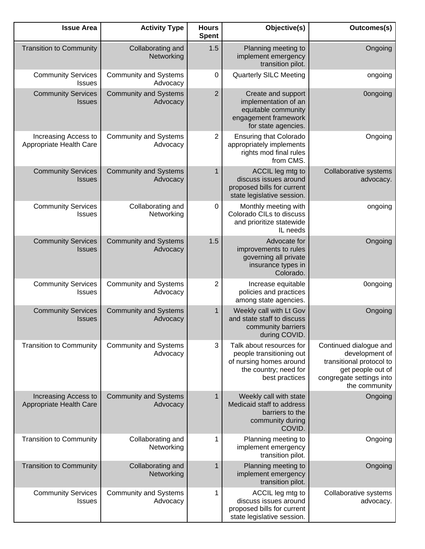| Outcomes(s)                                                                                                                            | Objective(s)                                                                                                               | <b>Hours</b><br><b>Spent</b> | <b>Activity Type</b>                     | <b>Issue Area</b>                               |
|----------------------------------------------------------------------------------------------------------------------------------------|----------------------------------------------------------------------------------------------------------------------------|------------------------------|------------------------------------------|-------------------------------------------------|
| Ongoing                                                                                                                                | Planning meeting to<br>implement emergency<br>transition pilot.                                                            | 1.5                          | Collaborating and<br>Networking          | <b>Transition to Community</b>                  |
| ongoing                                                                                                                                | <b>Quarterly SILC Meeting</b>                                                                                              | $\mathbf 0$                  | <b>Community and Systems</b><br>Advocacy | <b>Community Services</b><br>Issues             |
| <b>Oongoing</b>                                                                                                                        | Create and support<br>implementation of an<br>equitable community<br>engagement framework<br>for state agencies.           | $\overline{2}$               | <b>Community and Systems</b><br>Advocacy | <b>Community Services</b><br><b>Issues</b>      |
| Ongoing                                                                                                                                | <b>Ensuring that Colorado</b><br>appropriately implements<br>rights mod final rules<br>from CMS.                           | 2                            | <b>Community and Systems</b><br>Advocacy | Increasing Access to<br>Appropriate Health Care |
| Collaborative systems<br>advocacy.                                                                                                     | ACCIL leg mtg to<br>discuss issues around<br>proposed bills for current<br>state legislative session.                      | 1                            | <b>Community and Systems</b><br>Advocacy | <b>Community Services</b><br><b>Issues</b>      |
| ongoing                                                                                                                                | Monthly meeting with<br>Colorado CILs to discuss<br>and prioritize statewide<br>IL needs                                   | $\pmb{0}$                    | Collaborating and<br>Networking          | <b>Community Services</b><br>Issues             |
| Ongoing                                                                                                                                | Advocate for<br>improvements to rules<br>governing all private<br>insurance types in<br>Colorado.                          | 1.5                          | <b>Community and Systems</b><br>Advocacy | <b>Community Services</b><br><b>Issues</b>      |
| <b>Oongoing</b>                                                                                                                        | Increase equitable<br>policies and practices<br>among state agencies.                                                      | 2                            | <b>Community and Systems</b><br>Advocacy | <b>Community Services</b><br><b>Issues</b>      |
| Ongoing                                                                                                                                | Weekly call with Lt Gov<br>and state staff to discuss<br>community barriers<br>during COVID.                               | $\mathbf{1}$                 | <b>Community and Systems</b><br>Advocacy | <b>Community Services</b><br><b>Issues</b>      |
| Continued dialogue and<br>development of<br>transitional protocol to<br>get people out of<br>congregate settings into<br>the community | Talk about resources for<br>people transitioning out<br>of nursing homes around<br>the country; need for<br>best practices | 3                            | <b>Community and Systems</b><br>Advocacy | <b>Transition to Community</b>                  |
| Ongoing                                                                                                                                | Weekly call with state<br>Medicaid staff to address<br>barriers to the<br>community during<br>COVID.                       | $\mathbf{1}$                 | <b>Community and Systems</b><br>Advocacy | Increasing Access to<br>Appropriate Health Care |
| Ongoing                                                                                                                                | Planning meeting to<br>implement emergency<br>transition pilot.                                                            | 1                            | Collaborating and<br>Networking          | <b>Transition to Community</b>                  |
| Ongoing                                                                                                                                | Planning meeting to<br>implement emergency<br>transition pilot.                                                            | 1                            | Collaborating and<br>Networking          | <b>Transition to Community</b>                  |
| Collaborative systems<br>advocacy.                                                                                                     | ACCIL leg mtg to<br>discuss issues around<br>proposed bills for current<br>state legislative session.                      | 1                            | <b>Community and Systems</b><br>Advocacy | <b>Community Services</b><br>Issues             |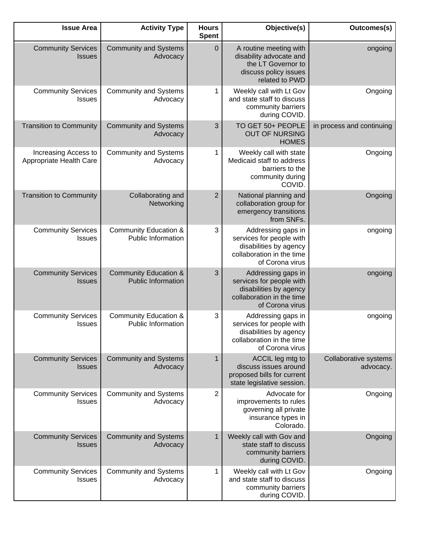| <b>Issue Area</b>                               | <b>Activity Type</b>                                          | <b>Hours</b><br><b>Spent</b> | Objective(s)                                                                                                             | Outcomes(s)                        |
|-------------------------------------------------|---------------------------------------------------------------|------------------------------|--------------------------------------------------------------------------------------------------------------------------|------------------------------------|
| <b>Community Services</b><br><b>Issues</b>      | <b>Community and Systems</b><br>Advocacy                      | $\pmb{0}$                    | A routine meeting with<br>disability advocate and<br>the LT Governor to<br>discuss policy issues<br>related to PWD       | ongoing                            |
| <b>Community Services</b><br>Issues             | <b>Community and Systems</b><br>Advocacy                      | 1                            | Weekly call with Lt Gov<br>and state staff to discuss<br>community barriers<br>during COVID.                             | Ongoing                            |
| <b>Transition to Community</b>                  | <b>Community and Systems</b><br>Advocacy                      | 3                            | TO GET 50+ PEOPLE<br><b>OUT OF NURSING</b><br><b>HOMES</b>                                                               | in process and continuing          |
| Increasing Access to<br>Appropriate Health Care | <b>Community and Systems</b><br>Advocacy                      | 1                            | Weekly call with state<br>Medicaid staff to address<br>barriers to the<br>community during<br>COVID.                     | Ongoing                            |
| <b>Transition to Community</b>                  | Collaborating and<br>Networking                               | $\overline{c}$               | National planning and<br>collaboration group for<br>emergency transitions<br>from SNFs.                                  | Ongoing                            |
| <b>Community Services</b><br>Issues             | <b>Community Education &amp;</b><br><b>Public Information</b> | 3                            | Addressing gaps in<br>services for people with<br>disabilities by agency<br>collaboration in the time<br>of Corona virus | ongoing                            |
| <b>Community Services</b><br><b>Issues</b>      | <b>Community Education &amp;</b><br><b>Public Information</b> | 3                            | Addressing gaps in<br>services for people with<br>disabilities by agency<br>collaboration in the time<br>of Corona virus | ongoing                            |
| <b>Community Services</b><br><b>Issues</b>      | <b>Community Education &amp;</b><br>Public Information        | 3                            | Addressing gaps in<br>services for people with<br>disabilities by agency<br>collaboration in the time<br>of Corona virus | ongoing                            |
| <b>Community Services</b><br><b>Issues</b>      | <b>Community and Systems</b><br>Advocacy                      | $\mathbf{1}$                 | ACCIL leg mtg to<br>discuss issues around<br>proposed bills for current<br>state legislative session.                    | Collaborative systems<br>advocacy. |
| <b>Community Services</b><br><b>Issues</b>      | <b>Community and Systems</b><br>Advocacy                      | $\overline{2}$               | Advocate for<br>improvements to rules<br>governing all private<br>insurance types in<br>Colorado.                        | Ongoing                            |
| <b>Community Services</b><br><b>Issues</b>      | <b>Community and Systems</b><br>Advocacy                      | $\mathbf{1}$                 | Weekly call with Gov and<br>state staff to discuss<br>community barriers<br>during COVID.                                | Ongoing                            |
| <b>Community Services</b><br><b>Issues</b>      | <b>Community and Systems</b><br>Advocacy                      | 1                            | Weekly call with Lt Gov<br>and state staff to discuss<br>community barriers<br>during COVID.                             | Ongoing                            |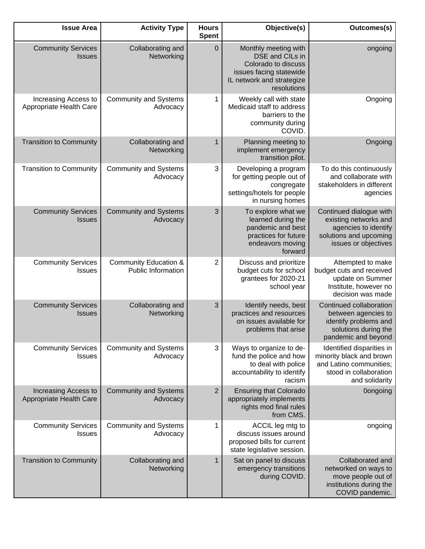| <b>Issue Area</b>                               | <b>Activity Type</b>                                          | <b>Hours</b><br><b>Spent</b> | Objective(s)                                                                                                                                 | Outcomes(s)                                                                                                                  |
|-------------------------------------------------|---------------------------------------------------------------|------------------------------|----------------------------------------------------------------------------------------------------------------------------------------------|------------------------------------------------------------------------------------------------------------------------------|
| <b>Community Services</b><br><b>Issues</b>      | Collaborating and<br>Networking                               | $\mathbf 0$                  | Monthly meeting with<br><b>DSE</b> and CILs in<br>Colorado to discuss<br>issues facing statewide<br>IL network and strategize<br>resolutions | ongoing                                                                                                                      |
| Increasing Access to<br>Appropriate Health Care | <b>Community and Systems</b><br>Advocacy                      | 1                            | Weekly call with state<br>Medicaid staff to address<br>barriers to the<br>community during<br>COVID.                                         | Ongoing                                                                                                                      |
| <b>Transition to Community</b>                  | Collaborating and<br>Networking                               | 1                            | Planning meeting to<br>implement emergency<br>transition pilot.                                                                              | Ongoing                                                                                                                      |
| <b>Transition to Community</b>                  | <b>Community and Systems</b><br>Advocacy                      | 3                            | Developing a program<br>for getting people out of<br>congregate<br>settings/hotels for people<br>in nursing homes                            | To do this continuously<br>and collaborate with<br>stakeholders in different<br>agencies                                     |
| <b>Community Services</b><br><b>Issues</b>      | <b>Community and Systems</b><br>Advocacy                      | 3                            | To explore what we<br>learned during the<br>pandemic and best<br>practices for future<br>endeavors moving<br>forward                         | Continued dialogue with<br>existing networks and<br>agencies to identify<br>solutions and upcoming<br>issues or objectives   |
| <b>Community Services</b><br><b>Issues</b>      | <b>Community Education &amp;</b><br><b>Public Information</b> | $\overline{2}$               | Discuss and prioritize<br>budget cuts for school<br>grantees for 2020-21<br>school year                                                      | Attempted to make<br>budget cuts and received<br>update on Summer<br>Institute, however no<br>decision was made              |
| <b>Community Services</b><br><b>Issues</b>      | Collaborating and<br>Networking                               | 3                            | Identify needs, best<br>practices and resources<br>on issues available for<br>problems that arise                                            | Continued collaboration<br>between agencies to<br>identify problems and<br>solutions during the<br>pandemic and beyond       |
| <b>Community Services</b><br><b>Issues</b>      | <b>Community and Systems</b><br>Advocacy                      | 3                            | Ways to organize to de-<br>fund the police and how<br>to deal with police<br>accountability to identify<br>racism                            | Identified disparities in<br>minority black and brown<br>and Latino communities;<br>stood in collaboration<br>and solidarity |
| Increasing Access to<br>Appropriate Health Care | <b>Community and Systems</b><br>Advocacy                      | $\overline{2}$               | <b>Ensuring that Colorado</b><br>appropriately implements<br>rights mod final rules<br>from CMS.                                             | <b>Oongoing</b>                                                                                                              |
| <b>Community Services</b><br><b>Issues</b>      | <b>Community and Systems</b><br>Advocacy                      | 1                            | ACCIL leg mtg to<br>discuss issues around<br>proposed bills for current<br>state legislative session.                                        | ongoing                                                                                                                      |
| <b>Transition to Community</b>                  | Collaborating and<br>Networking                               | $\mathbf{1}$                 | Sat on panel to discuss<br>emergency transitions<br>during COVID.                                                                            | Collaborated and<br>networked on ways to<br>move people out of<br>institutions during the<br>COVID pandemic.                 |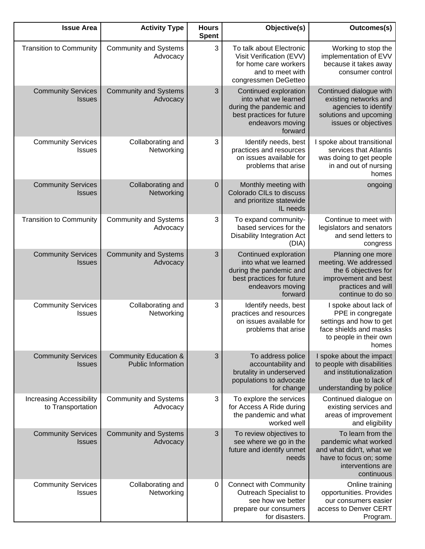| <b>Issue Area</b>                                    | <b>Activity Type</b>                                          | <b>Hours</b><br><b>Spent</b> | Objective(s)                                                                                                                         | Outcomes(s)                                                                                                                           |
|------------------------------------------------------|---------------------------------------------------------------|------------------------------|--------------------------------------------------------------------------------------------------------------------------------------|---------------------------------------------------------------------------------------------------------------------------------------|
| <b>Transition to Community</b>                       | <b>Community and Systems</b><br>Advocacy                      | 3                            | To talk about Electronic<br>Visit Verification (EVV)<br>for home care workers<br>and to meet with<br>congressmen DeGetteo            | Working to stop the<br>implementation of EVV<br>because it takes away<br>consumer control                                             |
| <b>Community Services</b><br><b>Issues</b>           | <b>Community and Systems</b><br>Advocacy                      | 3                            | Continued exploration<br>into what we learned<br>during the pandemic and<br>best practices for future<br>endeavors moving<br>forward | Continued dialogue with<br>existing networks and<br>agencies to identify<br>solutions and upcoming<br>issues or objectives            |
| <b>Community Services</b><br><b>Issues</b>           | Collaborating and<br>Networking                               | 3                            | Identify needs, best<br>practices and resources<br>on issues available for<br>problems that arise                                    | I spoke about transitional<br>services that Atlantis<br>was doing to get people<br>in and out of nursing<br>homes                     |
| <b>Community Services</b><br><b>Issues</b>           | Collaborating and<br>Networking                               | $\mathbf 0$                  | Monthly meeting with<br>Colorado CILs to discuss<br>and prioritize statewide<br>IL needs                                             | ongoing                                                                                                                               |
| <b>Transition to Community</b>                       | <b>Community and Systems</b><br>Advocacy                      | 3                            | To expand community-<br>based services for the<br><b>Disability Integration Act</b><br>(DIA)                                         | Continue to meet with<br>legislators and senators<br>and send letters to<br>congress                                                  |
| <b>Community Services</b><br><b>Issues</b>           | <b>Community and Systems</b><br>Advocacy                      | 3                            | Continued exploration<br>into what we learned<br>during the pandemic and<br>best practices for future<br>endeavors moving<br>forward | Planning one more<br>meeting. We addressed<br>the 6 objectives for<br>improvement and best<br>practices and will<br>continue to do so |
| <b>Community Services</b><br><b>Issues</b>           | Collaborating and<br>Networking                               | 3                            | Identify needs, best<br>practices and resources<br>on issues available for<br>problems that arise                                    | I spoke about lack of<br>PPE in congregate<br>settings and how to get<br>face shields and masks<br>to people in their own<br>homes    |
| <b>Community Services</b><br><b>Issues</b>           | <b>Community Education &amp;</b><br><b>Public Information</b> | 3                            | To address police<br>accountability and<br>brutality in underserved<br>populations to advocate<br>for change                         | I spoke about the impact<br>to people with disabilities<br>and institutionalization<br>due to lack of<br>understanding by police      |
| <b>Increasing Accessibility</b><br>to Transportation | <b>Community and Systems</b><br>Advocacy                      | 3                            | To explore the services<br>for Access A Ride during<br>the pandemic and what<br>worked well                                          | Continued dialogue on<br>existing services and<br>areas of improvement<br>and eligibility                                             |
| <b>Community Services</b><br><b>Issues</b>           | <b>Community and Systems</b><br>Advocacy                      | 3                            | To review objectives to<br>see where we go in the<br>future and identify unmet<br>needs                                              | To learn from the<br>pandemic what worked<br>and what didn't, what we<br>have to focus on; some<br>interventions are<br>continuous    |
| <b>Community Services</b><br><b>Issues</b>           | Collaborating and<br>Networking                               | $\mathbf 0$                  | <b>Connect with Community</b><br>Outreach Specialist to<br>see how we better<br>prepare our consumers<br>for disasters.              | Online training<br>opportunities. Provides<br>our consumers easier<br>access to Denver CERT<br>Program.                               |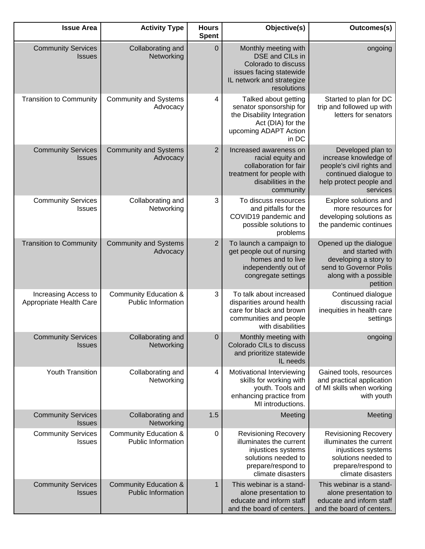| <b>Issue Area</b>                               | <b>Activity Type</b>                                          | <b>Hours</b><br><b>Spent</b> | Objective(s)                                                                                                                                   | Outcomes(s)                                                                                                                                    |
|-------------------------------------------------|---------------------------------------------------------------|------------------------------|------------------------------------------------------------------------------------------------------------------------------------------------|------------------------------------------------------------------------------------------------------------------------------------------------|
| <b>Community Services</b><br><b>Issues</b>      | Collaborating and<br>Networking                               | $\mathbf 0$                  | Monthly meeting with<br>DSE and CILs in<br>Colorado to discuss<br>issues facing statewide<br>IL network and strategize<br>resolutions          | ongoing                                                                                                                                        |
| <b>Transition to Community</b>                  | <b>Community and Systems</b><br>Advocacy                      | 4                            | Talked about getting<br>senator sponsorship for<br>the Disability Integration<br>Act (DIA) for the<br>upcoming ADAPT Action<br>in DC           | Started to plan for DC<br>trip and followed up with<br>letters for senators                                                                    |
| <b>Community Services</b><br><b>Issues</b>      | <b>Community and Systems</b><br>Advocacy                      | $\overline{2}$               | Increased awareness on<br>racial equity and<br>collaboration for fair<br>treatment for people with<br>disabilities in the<br>community         | Developed plan to<br>increase knowledge of<br>people's civil rights and<br>continued dialogue to<br>help protect people and<br>services        |
| <b>Community Services</b><br><b>Issues</b>      | Collaborating and<br>Networking                               | 3                            | To discuss resources<br>and pitfalls for the<br>COVID19 pandemic and<br>possible solutions to<br>problems                                      | Explore solutions and<br>more resources for<br>developing solutions as<br>the pandemic continues                                               |
| <b>Transition to Community</b>                  | <b>Community and Systems</b><br>Advocacy                      | $\overline{2}$               | To launch a campaign to<br>get people out of nursing<br>homes and to live<br>independently out of<br>congregate settings                       | Opened up the dialogue<br>and started with<br>developing a story to<br>send to Governor Polis<br>along with a possible<br>petition             |
| Increasing Access to<br>Appropriate Health Care | <b>Community Education &amp;</b><br><b>Public Information</b> | 3                            | To talk about increased<br>disparities around health<br>care for black and brown<br>communities and people<br>with disabilities                | Continued dialogue<br>discussing racial<br>inequities in health care<br>settings                                                               |
| <b>Community Services</b><br><b>Issues</b>      | Collaborating and<br>Networking                               | $\pmb{0}$                    | Monthly meeting with<br>Colorado CILs to discuss<br>and prioritize statewide<br>IL needs                                                       | ongoing                                                                                                                                        |
| <b>Youth Transition</b>                         | Collaborating and<br>Networking                               | 4                            | Motivational Interviewing<br>skills for working with<br>youth. Tools and<br>enhancing practice from<br>MI introductions.                       | Gained tools, resources<br>and practical application<br>of MI skills when working<br>with youth                                                |
| <b>Community Services</b><br><b>Issues</b>      | Collaborating and<br>Networking                               | 1.5                          | Meeting                                                                                                                                        | Meeting                                                                                                                                        |
| <b>Community Services</b><br><b>Issues</b>      | <b>Community Education &amp;</b><br><b>Public Information</b> | $\mathbf 0$                  | <b>Revisioning Recovery</b><br>illuminates the current<br>injustices systems<br>solutions needed to<br>prepare/respond to<br>climate disasters | <b>Revisioning Recovery</b><br>illuminates the current<br>injustices systems<br>solutions needed to<br>prepare/respond to<br>climate disasters |
| <b>Community Services</b><br><b>Issues</b>      | <b>Community Education &amp;</b><br><b>Public Information</b> | $\mathbf{1}$                 | This webinar is a stand-<br>alone presentation to<br>educate and inform staff<br>and the board of centers.                                     | This webinar is a stand-<br>alone presentation to<br>educate and inform staff<br>and the board of centers.                                     |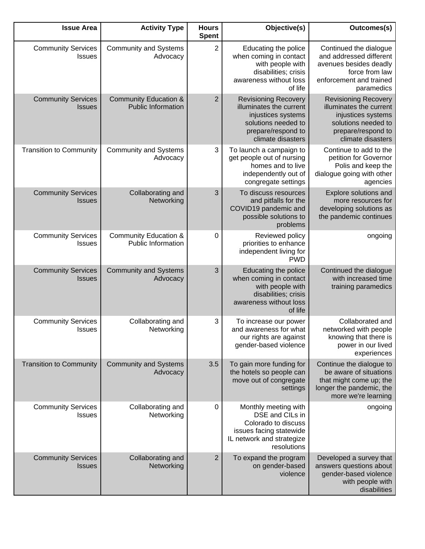| Outcomes(s)                                                                                                                                    | Objective(s)                                                                                                                                   | <b>Hours</b><br><b>Spent</b> | <b>Activity Type</b>                                          | <b>Issue Area</b>                          |
|------------------------------------------------------------------------------------------------------------------------------------------------|------------------------------------------------------------------------------------------------------------------------------------------------|------------------------------|---------------------------------------------------------------|--------------------------------------------|
| Continued the dialogue<br>and addressed different<br>avenues besides deadly<br>force from law<br>enforcement and trained<br>paramedics         | Educating the police<br>when coming in contact<br>with people with<br>disabilities; crisis<br>awareness without loss<br>of life                | $\overline{2}$               | <b>Community and Systems</b><br>Advocacy                      | <b>Community Services</b><br><b>Issues</b> |
| <b>Revisioning Recovery</b><br>illuminates the current<br>injustices systems<br>solutions needed to<br>prepare/respond to<br>climate disasters | <b>Revisioning Recovery</b><br>illuminates the current<br>injustices systems<br>solutions needed to<br>prepare/respond to<br>climate disasters | $\overline{2}$               | <b>Community Education &amp;</b><br><b>Public Information</b> | <b>Community Services</b><br><b>Issues</b> |
| Continue to add to the<br>petition for Governor<br>Polis and keep the<br>dialogue going with other<br>agencies                                 | To launch a campaign to<br>get people out of nursing<br>homes and to live<br>independently out of<br>congregate settings                       | 3                            | <b>Community and Systems</b><br>Advocacy                      | <b>Transition to Community</b>             |
| Explore solutions and<br>more resources for<br>developing solutions as<br>the pandemic continues                                               | To discuss resources<br>and pitfalls for the<br>COVID19 pandemic and<br>possible solutions to<br>problems                                      | 3                            | Collaborating and<br>Networking                               | <b>Community Services</b><br><b>Issues</b> |
| ongoing                                                                                                                                        | Reviewed policy<br>priorities to enhance<br>independent living for<br><b>PWD</b>                                                               | 0                            | <b>Community Education &amp;</b><br>Public Information        | <b>Community Services</b><br><b>Issues</b> |
| Continued the dialogue<br>with increased time<br>training paramedics                                                                           | Educating the police<br>when coming in contact<br>with people with<br>disabilities; crisis<br>awareness without loss<br>of life                | 3                            | <b>Community and Systems</b><br>Advocacy                      | <b>Community Services</b><br><b>Issues</b> |
| Collaborated and<br>networked with people<br>knowing that there is<br>power in our lived<br>experiences                                        | To increase our power<br>and awareness for what<br>our rights are against<br>gender-based violence                                             | 3                            | Collaborating and<br>Networking                               | <b>Community Services</b><br><b>Issues</b> |
| Continue the dialogue to<br>be aware of situations<br>that might come up; the<br>longer the pandemic, the<br>more we're learning               | To gain more funding for<br>the hotels so people can<br>move out of congregate<br>settings                                                     | 3.5                          | <b>Community and Systems</b><br>Advocacy                      | <b>Transition to Community</b>             |
| ongoing                                                                                                                                        | Monthly meeting with<br>DSE and CILs in<br>Colorado to discuss<br>issues facing statewide<br>IL network and strategize<br>resolutions          | 0                            | Collaborating and<br>Networking                               | <b>Community Services</b><br><b>Issues</b> |
| Developed a survey that<br>answers questions about<br>gender-based violence<br>with people with<br>disabilities                                | To expand the program<br>on gender-based<br>violence                                                                                           | $\overline{2}$               | Collaborating and<br>Networking                               | <b>Community Services</b><br><b>Issues</b> |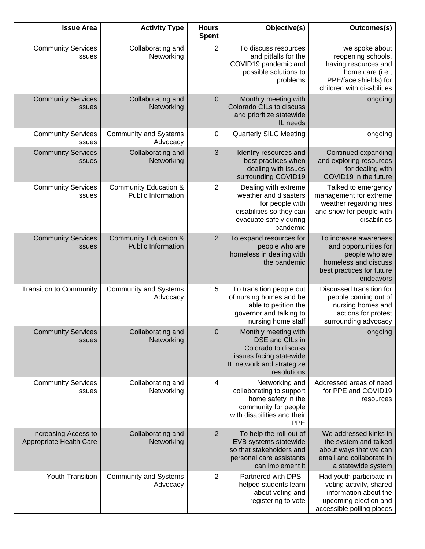| Outcomes(s)                                                                                                                             | Objective(s)                                                                                                                          | <b>Hours</b><br><b>Spent</b> | <b>Activity Type</b>                                          | <b>Issue Area</b>                               |
|-----------------------------------------------------------------------------------------------------------------------------------------|---------------------------------------------------------------------------------------------------------------------------------------|------------------------------|---------------------------------------------------------------|-------------------------------------------------|
| we spoke about<br>reopening schools,<br>having resources and<br>home care (i.e.,<br>PPE/face shields) for<br>children with disabilities | To discuss resources<br>and pitfalls for the<br>COVID19 pandemic and<br>possible solutions to<br>problems                             | $\overline{2}$               | Collaborating and<br>Networking                               | <b>Community Services</b><br><b>Issues</b>      |
| ongoing                                                                                                                                 | Monthly meeting with<br>Colorado CILs to discuss<br>and prioritize statewide<br>IL needs                                              | $\pmb{0}$                    | Collaborating and<br>Networking                               | <b>Community Services</b><br><b>Issues</b>      |
| ongoing                                                                                                                                 | <b>Quarterly SILC Meeting</b>                                                                                                         | 0                            | <b>Community and Systems</b><br>Advocacy                      | <b>Community Services</b><br><b>Issues</b>      |
| Continued expanding<br>and exploring resources<br>for dealing with<br>COVID19 in the future                                             | Identify resources and<br>best practices when<br>dealing with issues<br>surrounding COVID19                                           | 3                            | Collaborating and<br>Networking                               | <b>Community Services</b><br><b>Issues</b>      |
| Talked to emergency<br>management for extreme<br>weather regarding fires<br>and snow for people with<br>disabilities                    | Dealing with extreme<br>weather and disasters<br>for people with<br>disabilities so they can<br>evacuate safely during<br>pandemic    | 2                            | <b>Community Education &amp;</b><br>Public Information        | <b>Community Services</b><br><b>Issues</b>      |
| To increase awareness<br>and opportunities for<br>people who are<br>homeless and discuss<br>best practices for future<br>endeavors      | To expand resources for<br>people who are<br>homeless in dealing with<br>the pandemic                                                 | $\overline{2}$               | <b>Community Education &amp;</b><br><b>Public Information</b> | <b>Community Services</b><br><b>Issues</b>      |
| Discussed transition for<br>people coming out of<br>nursing homes and<br>actions for protest<br>surrounding advocacy                    | To transition people out<br>of nursing homes and be<br>able to petition the<br>governor and talking to<br>nursing home staff          | 1.5                          | <b>Community and Systems</b><br>Advocacy                      | <b>Transition to Community</b>                  |
| <b>Example 2019</b> ongoing                                                                                                             | Monthly meeting with<br>DSE and CILs in<br>Colorado to discuss<br>issues facing statewide<br>IL network and strategize<br>resolutions | $\mathbf 0$                  | Collaborating and<br>Networking                               | <b>Community Services</b><br><b>Issues</b>      |
| Addressed areas of need<br>for PPE and COVID19<br>resources                                                                             | Networking and<br>collaborating to support<br>home safety in the<br>community for people<br>with disabilities and their<br><b>PPE</b> | 4                            | Collaborating and<br>Networking                               | <b>Community Services</b><br><b>Issues</b>      |
| We addressed kinks in<br>the system and talked<br>about ways that we can<br>email and collaborate in<br>a statewide system              | To help the roll-out of<br>EVB systems statewide<br>so that stakeholders and<br>personal care assistants<br>can implement it          | 2                            | Collaborating and<br>Networking                               | Increasing Access to<br>Appropriate Health Care |
| Had youth participate in<br>voting activity, shared<br>information about the<br>upcoming election and<br>accessible polling places      | Partnered with DPS -<br>helped students learn<br>about voting and<br>registering to vote                                              | 2                            | <b>Community and Systems</b><br>Advocacy                      | Youth Transition                                |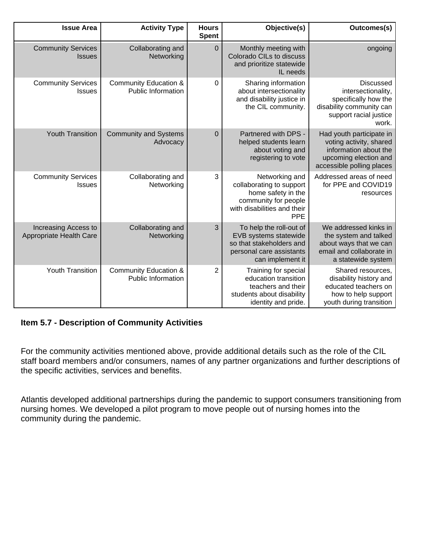| Outcomes(s)                                                                                                                        | Objective(s)                                                                                                                          | <b>Hours</b><br><b>Spent</b> | <b>Activity Type</b>                                          | <b>Issue Area</b>                               |
|------------------------------------------------------------------------------------------------------------------------------------|---------------------------------------------------------------------------------------------------------------------------------------|------------------------------|---------------------------------------------------------------|-------------------------------------------------|
| ongoing                                                                                                                            | Monthly meeting with<br>Colorado CILs to discuss<br>and prioritize statewide<br>IL needs                                              | $\overline{0}$               | Collaborating and<br>Networking                               | <b>Community Services</b><br><b>Issues</b>      |
| <b>Discussed</b><br>intersectionality,<br>specifically how the<br>disability community can<br>support racial justice<br>work.      | Sharing information<br>about intersectionality<br>and disability justice in<br>the CIL community.                                     | $\Omega$                     | <b>Community Education &amp;</b><br><b>Public Information</b> | <b>Community Services</b><br><b>Issues</b>      |
| Had youth participate in<br>voting activity, shared<br>information about the<br>upcoming election and<br>accessible polling places | Partnered with DPS -<br>helped students learn<br>about voting and<br>registering to vote                                              | $\mathbf 0$                  | <b>Community and Systems</b><br>Advocacy                      | <b>Youth Transition</b>                         |
| Addressed areas of need<br>for PPE and COVID19<br>resources                                                                        | Networking and<br>collaborating to support<br>home safety in the<br>community for people<br>with disabilities and their<br><b>PPE</b> | 3                            | Collaborating and<br>Networking                               | <b>Community Services</b><br><b>Issues</b>      |
| We addressed kinks in<br>the system and talked<br>about ways that we can<br>email and collaborate in<br>a statewide system         | To help the roll-out of<br>EVB systems statewide<br>so that stakeholders and<br>personal care assistants<br>can implement it          | 3                            | Collaborating and<br>Networking                               | Increasing Access to<br>Appropriate Health Care |
| Shared resources,<br>disability history and<br>educated teachers on<br>how to help support<br>youth during transition              | Training for special<br>education transition<br>teachers and their<br>students about disability<br>identity and pride.                | $\overline{2}$               | <b>Community Education &amp;</b><br><b>Public Information</b> | <b>Youth Transition</b>                         |

#### **Item 5.7 - Description of Community Activities**

For the community activities mentioned above, provide additional details such as the role of the CIL staff board members and/or consumers, names of any partner organizations and further descriptions of the specific activities, services and benefits.

Atlantis developed additional partnerships during the pandemic to support consumers transitioning from nursing homes. We developed a pilot program to move people out of nursing homes into the community during the pandemic.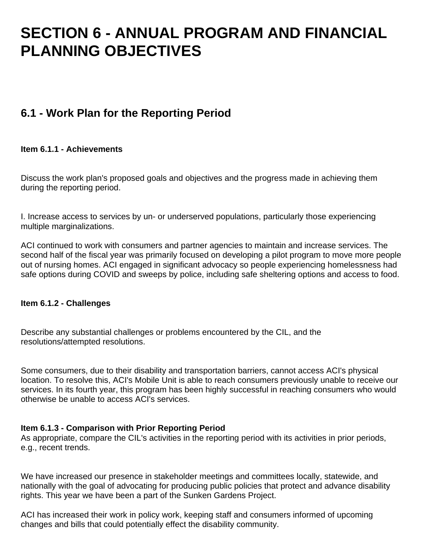## **SECTION 6 - ANNUAL PROGRAM AND FINANCIAL PLANNING OBJECTIVES**

## **6.1 - Work Plan for the Reporting Period**

#### **Item 6.1.1 - Achievements**

Discuss the work plan's proposed goals and objectives and the progress made in achieving them during the reporting period.

I. Increase access to services by un- or underserved populations, particularly those experiencing multiple marginalizations.

ACI continued to work with consumers and partner agencies to maintain and increase services. The second half of the fiscal year was primarily focused on developing a pilot program to move more people out of nursing homes. ACI engaged in significant advocacy so people experiencing homelessness had safe options during COVID and sweeps by police, including safe sheltering options and access to food.

#### **Item 6.1.2 - Challenges**

Describe any substantial challenges or problems encountered by the CIL, and the resolutions/attempted resolutions.

Some consumers, due to their disability and transportation barriers, cannot access ACI's physical location. To resolve this, ACI's Mobile Unit is able to reach consumers previously unable to receive our services. In its fourth year, this program has been highly successful in reaching consumers who would otherwise be unable to access ACI's services.

#### **Item 6.1.3 - Comparison with Prior Reporting Period**

As appropriate, compare the CIL's activities in the reporting period with its activities in prior periods, e.g., recent trends.

We have increased our presence in stakeholder meetings and committees locally, statewide, and nationally with the goal of advocating for producing public policies that protect and advance disability rights. This year we have been a part of the Sunken Gardens Project.

ACI has increased their work in policy work, keeping staff and consumers informed of upcoming changes and bills that could potentially effect the disability community.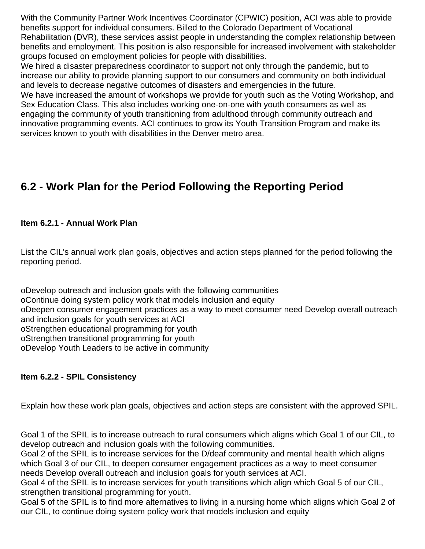With the Community Partner Work Incentives Coordinator (CPWIC) position, ACI was able to provide benefits support for individual consumers. Billed to the Colorado Department of Vocational Rehabilitation (DVR), these services assist people in understanding the complex relationship between benefits and employment. This position is also responsible for increased involvement with stakeholder groups focused on employment policies for people with disabilities.

We hired a disaster preparedness coordinator to support not only through the pandemic, but to increase our ability to provide planning support to our consumers and community on both individual and levels to decrease negative outcomes of disasters and emergencies in the future.

We have increased the amount of workshops we provide for youth such as the Voting Workshop, and Sex Education Class. This also includes working one-on-one with youth consumers as well as engaging the community of youth transitioning from adulthood through community outreach and innovative programming events. ACI continues to grow its Youth Transition Program and make its services known to youth with disabilities in the Denver metro area.

## **6.2 - Work Plan for the Period Following the Reporting Period**

#### **Item 6.2.1 - Annual Work Plan**

List the CIL's annual work plan goals, objectives and action steps planned for the period following the reporting period.

o Develop outreach and inclusion goals with the following communities

o Continue doing system policy work that models inclusion and equity

o Deepen consumer engagement practices as a way to meet consumer need Develop overall outreach and inclusion goals for youth services at ACI

o Strengthen educational programming for youth

o Strengthen transitional programming for youth

o Develop Youth Leaders to be active in community

#### **Item 6.2.2 - SPIL Consistency**

Explain how these work plan goals, objectives and action steps are consistent with the approved SPIL.

Goal 1 of the SPIL is to increase outreach to rural consumers which aligns which Goal 1 of our CIL, to develop outreach and inclusion goals with the following communities.

Goal 2 of the SPIL is to increase services for the D/deaf community and mental health which aligns which Goal 3 of our CIL, to deepen consumer engagement practices as a way to meet consumer needs Develop overall outreach and inclusion goals for youth services at ACI.

Goal 4 of the SPIL is to increase services for youth transitions which align which Goal 5 of our CIL, strengthen transitional programming for youth.

Goal 5 of the SPIL is to find more alternatives to living in a nursing home which aligns which Goal 2 of our CIL, to continue doing system policy work that models inclusion and equity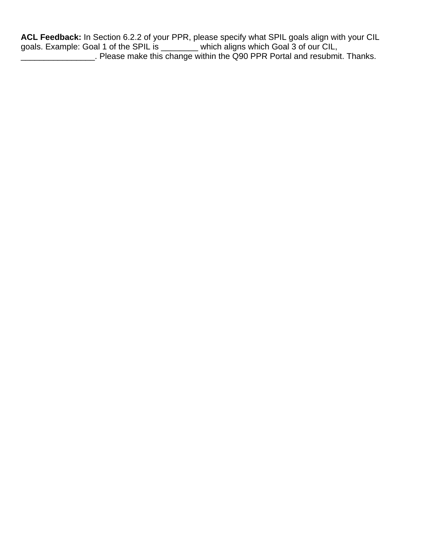**ACL Feedback:** In Section 6.2.2 of your PPR, please specify what SPIL goals align with your CIL goals. Example: Goal 1 of the SPIL is \_\_\_\_\_\_\_\_ which aligns which Goal 3 of our CIL, \_\_\_\_\_\_\_\_\_\_\_\_\_\_\_\_. Please make this change within the Q90 PPR Portal and resubmit. Thanks.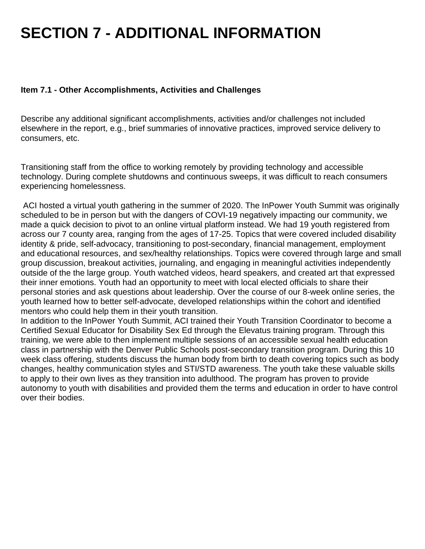# **SECTION 7 - ADDITIONAL INFORMATION**

#### **Item 7.1 - Other Accomplishments, Activities and Challenges**

Describe any additional significant accomplishments, activities and/or challenges not included elsewhere in the report, e.g., brief summaries of innovative practices, improved service delivery to consumers, etc.

Transitioning staff from the office to working remotely by providing technology and accessible technology. During complete shutdowns and continuous sweeps, it was difficult to reach consumers experiencing homelessness.

 ACI hosted a virtual youth gathering in the summer of 2020. The InPower Youth Summit was originally scheduled to be in person but with the dangers of COVI-19 negatively impacting our community, we made a quick decision to pivot to an online virtual platform instead. We had 19 youth registered from across our 7 county area, ranging from the ages of 17-25. Topics that were covered included disability identity & pride, self-advocacy, transitioning to post-secondary, financial management, employment and educational resources, and sex/healthy relationships. Topics were covered through large and small group discussion, breakout activities, journaling, and engaging in meaningful activities independently outside of the the large group. Youth watched videos, heard speakers, and created art that expressed their inner emotions. Youth had an opportunity to meet with local elected officials to share their personal stories and ask questions about leadership. Over the course of our 8-week online series, the youth learned how to better self-advocate, developed relationships within the cohort and identified mentors who could help them in their youth transition.

In addition to the InPower Youth Summit, ACI trained their Youth Transition Coordinator to become a Certified Sexual Educator for Disability Sex Ed through the Elevatus training program. Through this training, we were able to then implement multiple sessions of an accessible sexual health education class in partnership with the Denver Public Schools post-secondary transition program. During this 10 week class offering, students discuss the human body from birth to death covering topics such as body changes, healthy communication styles and STI/STD awareness. The youth take these valuable skills to apply to their own lives as they transition into adulthood. The program has proven to provide autonomy to youth with disabilities and provided them the terms and education in order to have control over their bodies.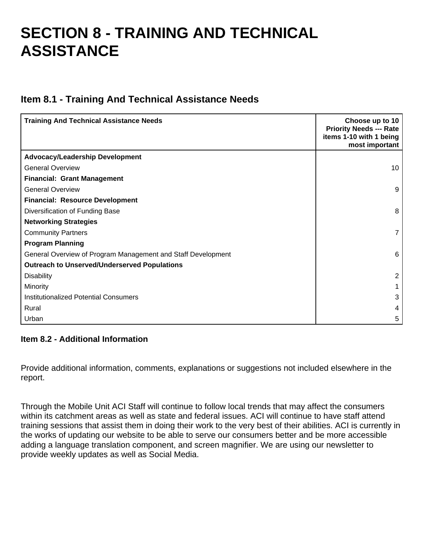## **SECTION 8 - TRAINING AND TECHNICAL ASSISTANCE**

### **Item 8.1 - Training And Technical Assistance Needs**

| <b>Training And Technical Assistance Needs</b>               | Choose up to 10<br><b>Priority Needs --- Rate</b><br>items 1-10 with 1 being<br>most important |
|--------------------------------------------------------------|------------------------------------------------------------------------------------------------|
| <b>Advocacy/Leadership Development</b>                       |                                                                                                |
| <b>General Overview</b>                                      | 10                                                                                             |
| <b>Financial: Grant Management</b>                           |                                                                                                |
| <b>General Overview</b>                                      | 9                                                                                              |
| <b>Financial: Resource Development</b>                       |                                                                                                |
| Diversification of Funding Base                              | 8                                                                                              |
| <b>Networking Strategies</b>                                 |                                                                                                |
| <b>Community Partners</b>                                    | 7                                                                                              |
| <b>Program Planning</b>                                      |                                                                                                |
| General Overview of Program Management and Staff Development | 6                                                                                              |
| <b>Outreach to Unserved/Underserved Populations</b>          |                                                                                                |
| <b>Disability</b>                                            | $\overline{2}$                                                                                 |
| Minority                                                     |                                                                                                |
| <b>Institutionalized Potential Consumers</b>                 | 3                                                                                              |
| Rural                                                        | 4                                                                                              |
| Urban                                                        | 5                                                                                              |

#### **Item 8.2 - Additional Information**

Provide additional information, comments, explanations or suggestions not included elsewhere in the report.

Through the Mobile Unit ACI Staff will continue to follow local trends that may affect the consumers within its catchment areas as well as state and federal issues. ACI will continue to have staff attend training sessions that assist them in doing their work to the very best of their abilities. ACI is currently in the works of updating our website to be able to serve our consumers better and be more accessible adding a language translation component, and screen magnifier. We are using our newsletter to provide weekly updates as well as Social Media.